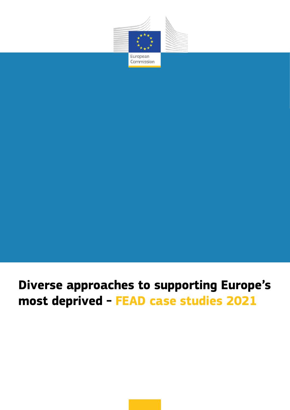

# **Diverse approaches to supporting Europe's most deprived - FEAD case studies 2021**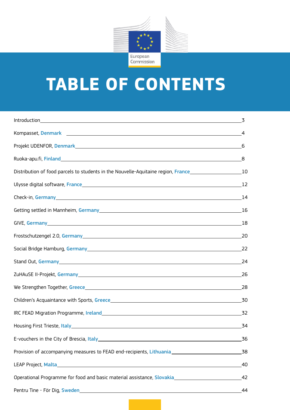

# **TABLE OF CONTENTS**

| Distribution of food parcels to students in the Nouvelle-Aquitaine region, France________________________10                                                                                                                         |       |
|-------------------------------------------------------------------------------------------------------------------------------------------------------------------------------------------------------------------------------------|-------|
|                                                                                                                                                                                                                                     |       |
| Check-in, Germany 14                                                                                                                                                                                                                |       |
|                                                                                                                                                                                                                                     |       |
|                                                                                                                                                                                                                                     |       |
|                                                                                                                                                                                                                                     |       |
|                                                                                                                                                                                                                                     | 22    |
| Stand Out, Germany <u>and Communications</u> and Contract the Contract of the Contract of Contract of Contract of Contract of Contract of Contract of Contract of Contract of Contract of Contract of Contract of Contract of Contr | 24    |
|                                                                                                                                                                                                                                     | _26   |
|                                                                                                                                                                                                                                     |       |
|                                                                                                                                                                                                                                     |       |
|                                                                                                                                                                                                                                     |       |
|                                                                                                                                                                                                                                     | 34    |
| E-vouchers in the City of Brescia, Italy 1990 1990 1990 1990 1991 1992 1994 1996 1999 1999 1999 1999 1999 199                                                                                                                       | 36    |
| Provision of accompanying measures to FEAD end-recipients, Lithuania ______________________________                                                                                                                                 | _38   |
|                                                                                                                                                                                                                                     | 40    |
| Operational Programme for food and basic material assistance, Slovakia                                                                                                                                                              | $-42$ |
|                                                                                                                                                                                                                                     |       |
|                                                                                                                                                                                                                                     |       |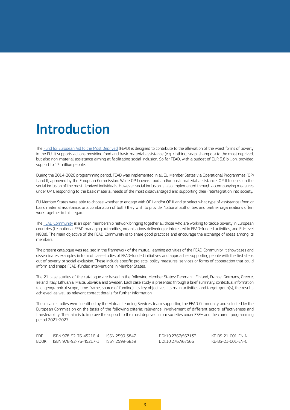# <span id="page-2-0"></span>Introduction

The [Fund for European Aid to the Most Deprived](https://ec.europa.eu/social/main.jsp?catId=1089&langId=en) (FEAD) is designed to contribute to the alleviation of the worst forms of poverty in the EU. It supports actions providing food and basic material assistance (e.g. clothing, soap, shampoo) to the most deprived, but also non-material assistance aiming at facilitating social inclusion. So far FEAD, with a budget of EUR 3.8 billion, provided support to 13 million people.

During the 2014-2020 programming period, FEAD was implemented in all EU Member States via Operational Programmes (OP) I and II, approved by the European Commission. While OP I covers food and/or basic material assistance, OP II focuses on the social inclusion of the most deprived individuals. However, social inclusion is also implemented through accompanying measures under OP I, responding to the basic material needs of the most disadvantaged and supporting their (re)integration into society.

EU Member States were able to choose whether to engage with OP I and/or OP II and to select what type of assistance (food or basic material assistance, or a combination of both) they wish to provide. National authorities and partner organisations often work together in this regard.

The [FEAD Community](https://ec.europa.eu/social/main.jsp?catId=1207&langId=en) is an open membership network bringing together all those who are working to tackle poverty in European countries (i.e. national FEAD managing authorities, organisations delivering or interested in FEAD-funded activities, and EU-level NGOs). The main objective of the FEAD Community is to share good practices and encourage the exchange of ideas among its members.

The present catalogue was realised in the framework of the mutual learning activities of the FEAD Community. It showcases and disseminates examples in form of case studies of FEAD-funded initiatives and approaches supporting people with the first steps out of poverty or social exclusion. These include specific projects, policy measures, services or forms of cooperation that could inform and shape FEAD-funded interventions in Member States.

The 21 case studies of the catalogue are based in the following Member States: Denmark, Finland, France, Germany, Greece, Ireland, Italy, Lithuania, Malta, Slovakia and Sweden. Each case study is presented through a brief summary, contextual information (e.g. geographical scope, time frame, source of funding), its key objectives, its main activities and target group(s), the results achieved, as well as relevant contact details for further information.

These case studies were identified by the Mutual Learning Services team supporting the FEAD Community and selected by the European Commission on the basis of the following criteria: relevance, involvement of different actors, effectiveness and transferability. Their aim is to improve the support to the most deprived in our societies under ESF+ and the current programming period 2021-2027.

| <b>PDF</b> | ISBN 978-92-76-45216-4                      | ISSN 2599-5847 | DOI:10.2767/567133 | KE-BS-21-001-EN-N |
|------------|---------------------------------------------|----------------|--------------------|-------------------|
| BOOK       | ISBN 978-92-76-45217-1       ISSN 2599-5839 |                | DOI:10.2767/67566  | KE-BS-21-001-EN-C |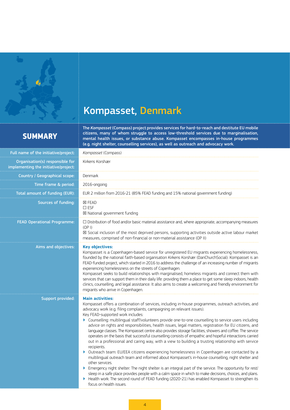<span id="page-3-0"></span>

# Kompasset, Denmark

## **SUMMARY**

The *Kompasset* (Compass) project provides services for hard-to-reach and destitute EU mobile citizens, many of whom struggle to access low-threshold services due to marginalisation, mental health issues, or substance abuse. Kompasset encompasses in-house programmes (e.g. night shelter, counselling services), as well as outreach and advocacy work.

| Full name of the initiative/project:                                    | Kompasset (Compass)                                                                                                                                                                                                                                                                                                                                                                                                                                                                                                                                                                                                                                                                                                                                                                                                                                                                                                                                                                                                                                                                                                                                                                                                                                                                                                                                                                                   |  |
|-------------------------------------------------------------------------|-------------------------------------------------------------------------------------------------------------------------------------------------------------------------------------------------------------------------------------------------------------------------------------------------------------------------------------------------------------------------------------------------------------------------------------------------------------------------------------------------------------------------------------------------------------------------------------------------------------------------------------------------------------------------------------------------------------------------------------------------------------------------------------------------------------------------------------------------------------------------------------------------------------------------------------------------------------------------------------------------------------------------------------------------------------------------------------------------------------------------------------------------------------------------------------------------------------------------------------------------------------------------------------------------------------------------------------------------------------------------------------------------------|--|
| Organisation(s) responsible for<br>implementing the initiative/project: | Kirkens Korshær                                                                                                                                                                                                                                                                                                                                                                                                                                                                                                                                                                                                                                                                                                                                                                                                                                                                                                                                                                                                                                                                                                                                                                                                                                                                                                                                                                                       |  |
| Country / Geographical scope:                                           | Denmark                                                                                                                                                                                                                                                                                                                                                                                                                                                                                                                                                                                                                                                                                                                                                                                                                                                                                                                                                                                                                                                                                                                                                                                                                                                                                                                                                                                               |  |
| Time frame & period:                                                    | 2016-ongoing                                                                                                                                                                                                                                                                                                                                                                                                                                                                                                                                                                                                                                                                                                                                                                                                                                                                                                                                                                                                                                                                                                                                                                                                                                                                                                                                                                                          |  |
| Total amount of funding (EUR):                                          | EUR 2 million from 2016-21 (85% FEAD funding and 15% national government funding)                                                                                                                                                                                                                                                                                                                                                                                                                                                                                                                                                                                                                                                                                                                                                                                                                                                                                                                                                                                                                                                                                                                                                                                                                                                                                                                     |  |
| Sources of funding:                                                     | <b>区 FEAD</b><br>$\square$ ESF<br>⊠ National government funding                                                                                                                                                                                                                                                                                                                                                                                                                                                                                                                                                                                                                                                                                                                                                                                                                                                                                                                                                                                                                                                                                                                                                                                                                                                                                                                                       |  |
| <b>FEAD Operational Programme:</b>                                      | $\Box$ Distribution of food and/or basic material assistance and, where appropriate, accompanying measures<br>(OP I)<br>⊠ Social inclusion of the most deprived persons, supporting activities outside active labour market<br>measures, comprised of non-financial or non-material assistance (OP II)                                                                                                                                                                                                                                                                                                                                                                                                                                                                                                                                                                                                                                                                                                                                                                                                                                                                                                                                                                                                                                                                                                |  |
| Aims and objectives:                                                    | <b>Key objectives:</b><br>Kompasset is a Copenhagen-based service for unregistered EU migrants experiencing homelessness,<br>founded by the national faith-based organisation Kirkens Korshær (DanChurchSocial). Kompasset is an<br>FEAD-funded project, which started in 2016 to address the challenge of an increasing number of migrants<br>experiencing homelessness on the streets of Copenhagen.<br>Kompasset seeks to build relationships with marginalised, homeless migrants and connect them with<br>services that can support them in their daily life: providing them a place to get some sleep indoors, health<br>clinics, counselling, and legal assistance. It also aims to create a welcoming and friendly environment for<br>migrants who arrive in Copenhagen.                                                                                                                                                                                                                                                                                                                                                                                                                                                                                                                                                                                                                      |  |
| Support provided:                                                       | <b>Main activities:</b><br>Kompasset offers a combination of services, including in-house programmes, outreach activities, and<br>advocacy work (e.g. filing complaints, campaigning on relevant issues).<br>Key FEAD-supported work includes:<br>▶ Counselling: multilingual staff/volunteers provide one-to-one counselling to service users including<br>advice on rights and responsibilities, health issues, legal matters, registration for EU citizens, and<br>language classes. The Kompasset centre also provides storage facilities, showers and coffee. The service<br>operates on the basis that successful counselling consists of empathic and hopeful interactions carried<br>out in a professional and caring way, with a view to building a trusting relationship with service<br>recipients.<br>> Outreach team: EU/EEA citizens experiencing homelessness in Copenhagen are contacted by a<br>multilingual outreach team and informed about Kompasset's in-house counselling, night shelter and<br>other services.<br>Emergency night shelter: The night shelter is an integral part of the service. The opportunity for rest/<br>Þ<br>sleep in a safe place provides people with a calm space in which to make decisions, choices, and plans.<br>Health work: The second round of FEAD funding (2020-21) has enabled Kompasset to strengthen its<br>Þ.<br>focus on health issues. |  |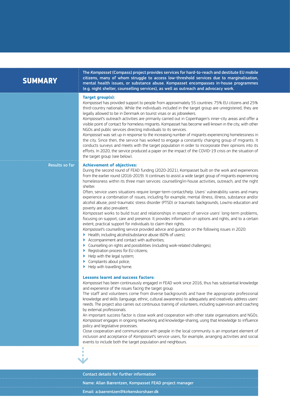| <b>SUMMARY</b> | The Kompasset (Compass) project provides services for hard-to-reach and destitute EU mobile<br>citizens, many of whom struggle to access low-threshold services due to marginalisation,<br>mental health issues, or substance abuse. Kompasset encompasses in-house programmes<br>(e.g. night shelter, counselling services), as well as outreach and advocacy work.                                                                                                                                                                                                                                                                                                                                                                                                                                                                                                                                                                                                                                                                                                                                                                                                                                                                                                                                                                                                                                                                                       |
|----------------|------------------------------------------------------------------------------------------------------------------------------------------------------------------------------------------------------------------------------------------------------------------------------------------------------------------------------------------------------------------------------------------------------------------------------------------------------------------------------------------------------------------------------------------------------------------------------------------------------------------------------------------------------------------------------------------------------------------------------------------------------------------------------------------------------------------------------------------------------------------------------------------------------------------------------------------------------------------------------------------------------------------------------------------------------------------------------------------------------------------------------------------------------------------------------------------------------------------------------------------------------------------------------------------------------------------------------------------------------------------------------------------------------------------------------------------------------------|
|                | <b>Target group(s):</b><br>Kompasset has provided support to people from approximately 55 countries: 75% EU citizens and 25%<br>third-country nationals. While the individuals included in the target group are unregistered, they are<br>legally allowed to be in Denmark on tourist visas or as jobseekers.<br>Kompasset's outreach activities are primarily carried out in Copenhagen's inner-city areas and offer a<br>visible point of contact for homeless migrants. Kompasset has become well-known in the city, with other<br>NGOs and public services directing individuals to its services.<br>Kompasset was set up in response to the increasing number of migrants experiencing homelessness in<br>the city. Since then, the service has worked to engage a constantly changing group of migrants. It<br>conducts surveys and meets with the target population in order to incorporate their opinions into its<br>efforts. In 2020, the service produced a paper on the impact of the COVID-19 crisis on the situation of<br>the target group (see below).                                                                                                                                                                                                                                                                                                                                                                                     |
| Results so far | <b>Achievement of objectives:</b><br>During the second round of FEAD funding (2020-2021), Kompasset built on the work and experiences<br>from the earlier round (2016-2019). It continues to assist a wide target group of migrants experiencing<br>homelessness within its three main services: counselling/in-house activities, outreach, and the night<br>shelter.<br>Often, service users situations require longer-term contact/help. Users' vulnerability varies and many<br>experience a combination of issues, including for example, mental illness, illness, substance and/or<br>alcohol abuse, post-traumatic stress disorder (PTSD) or traumatic backgrounds, Low/no education and<br>poverty are also prevalent.<br>Kompasset works to build trust and relationships in respect of service users' long-term problems,<br>focusing on support, care and presence. It provides information on options and rights, and to a certain<br>extent, practical support for individuals to claim their rights.<br>Kompasset's counselling service provided advice and guidance on the following issues in 2020:<br>Health, including alcohol/substance abuse (60% of users);<br>Accompaniment and contact with authorities;<br>▶<br>Counselling on rights and possibilities (including work-related challenges);<br>▶<br>Registration process for EU citizens;<br>Help with the legal system;<br>Complaints about police;<br>Help with travelling home. |
|                | <b>Lessons learnt and success factors:</b><br>Kompasset has been continuously engaged in FEAD work since 2016, thus has substantial knowledge<br>and experience of the issues facing the target group.<br>The staff and volunteers come from diverse backgrounds and have the appropriate professional<br>knowledge and skills (language, ethnic, cultural awareness) to adequately and creatively address users'<br>needs. The project also carries out continuous training of volunteers, including supervision and coaching<br>by external professionals.<br>An important success factor is close work and cooperation with other state organisations and NGOs.<br>Kompasset engages in ongoing networking and knowledge-sharing, using that knowledge to influence<br>policy and legislative processes.<br>Close cooperation and communication with people in the local community is an important element of<br>inclusion and acceptance of Kompasset's service users, for example, arranging activities and social<br>events to include both the target population and neighbours.                                                                                                                                                                                                                                                                                                                                                                    |

Contact details for further information Name: Allan Bærentzen, Kompasset FEAD project manager Email: [a.baerentzen@kirkenskorshaer.dk](mailto:a.baerentzen%40kirkenskorshaer.dk?subject=)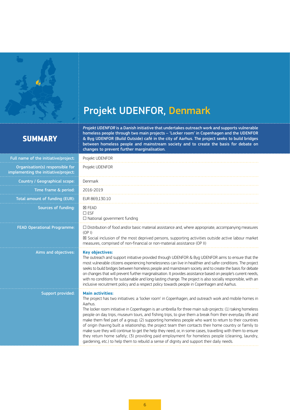<span id="page-5-0"></span>

# Projekt UDENFOR, Denmark

## **SUMMARY**

*Projekt UDENFOR* is a Danish initiative that undertakes outreach work and supports vulnerable homeless people through two main projects – 'Locker room' in Copenhagen and the UDENFOR & Byg UDENFOR (Build Outside) café in the city of Aarhus. The project seeks to build bridges between homeless people and mainstream society and to create the basis for debate on changes to prevent further marginalisation.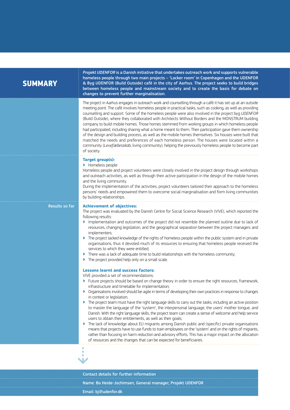| <b>SUMMARY</b> |  |  |
|----------------|--|--|
|                |  |  |

*Projekt UDENFOR* is a Danish initiative that undertakes outreach work and supports vulnerable homeless people through two main projects – 'Locker room' in Copenhagen and the UDENFOR & Byg UDENFOR (Build Outside) café in the city of Aarhus. The project seeks to build bridges between homeless people and mainstream society and to create the basis for debate on changes to prevent further marginalisation.

The project in Aarhus engages in outreach work and counselling through a café it has set up at an outside meeting point. The café involves homeless people in practical tasks, such as cooking, as well as providing counselling and support. Some of the homeless people were also involved in the project byg *UDENFOR* (Build Outside), where they collaborated with Architects Without Borders and the MONSTRUM building company to build mobile homes. Those homes stemmed from working groups in which homeless people had participated, including sharing what a home meant to them. Their participation gave them ownership of the design and building process, as well as the mobile homes themselves. Six houses were built that matched the needs and preferences of each homeless person. The houses were located within a community (*Levefællesskab*, living community), helping the previously homeless people to become part of society.

### **Target group(s):**

▶ Homeless people

Homeless people and project volunteers were closely involved in the project design through workshops and outreach activities, as well as through their active participation in the design of the mobile homes and the living community.

During the implementation of the activities, project volunteers tailored their approach to the homeless persons' needs and empowered them to overcome social marginalisation and form living communities by building relationships.

⇣

### Results so far **Achievement of objectives:**

The project was evaluated by the Danish Centre for Social Science Research (VIVE), which reported the following results:

- ▶ Implementation and outcomes of the project did not resemble the planned outline due to lack of resources, changing legislation, and the geographical separation between the project managers and implementers;
- ▶ The project lacked knowledge of the rights of homeless people within the public system and in private organisations, thus it devoted much of its resources to ensuring that homeless people received the services to which they were entitled;
- There was a lack of adequate time to build relationships with the homeless community;
- $\blacktriangleright$  The project provided help only on a small scale.

## **Lessons learnt and success factors:**

VIVE provided a set of recommendations:

- ▶ Future projects should be based on change theory in order to ensure the right resources, framework, infrastructure and timetable for implementation;
- ▶ Organisations involved should be agile in terms of developing their own practices in response to changes in context or legislation:
- ▶ The project team must have the right language skills to carry out the tasks, including an active position to master the language of the 'system', the interpersonal language, the users' mother tongue, and Danish. With the right language skills, the project team can create a sense of welcome and help service users to obtain their entitlements, as well as their goals;
- ▶ The lack of knowledge about EU migrants among Danish public and (specific) private organisations means that projects have to use funds to train employees on the 'system' and on the rights of migrants, rather than focusing on harm reduction and advisory efforts. This has a major impact on the allocation of resources and the changes that can be expected for beneficiaries.

Contact details for further information Name: Bo Heide-Jochimsen, General manager, Projekt UDENFOR Email: [bj@udenfor.dk](mailto:bj%40udenfor.dk?subject=)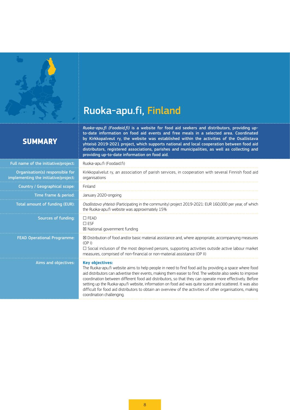<span id="page-7-0"></span>

# Ruoka-apu.fi, Finland

## **SUMMARY**

*Ruoka-apu.fi (Foodaid.fi)* is a website for food aid seekers and distributors, providing upto-date information on food aid events and free meals in a selected area. Coordinated by Kirkkopalveut ry, the website was established within the activities of the Osallistava yhteisö 2019-2021 project, which supports national and local cooperation between food aid distributors, registered associations, parishes and municipalities, as well as collecting and providing up-to-date information on food aid.

| Full name of the initiative/project:                                    | Ruoka-apu.fi (Foodaid.fi)                                                                                                                                                                                                                                                                                                                                                                                                                                                                                                                                                                                       |
|-------------------------------------------------------------------------|-----------------------------------------------------------------------------------------------------------------------------------------------------------------------------------------------------------------------------------------------------------------------------------------------------------------------------------------------------------------------------------------------------------------------------------------------------------------------------------------------------------------------------------------------------------------------------------------------------------------|
| Organisation(s) responsible for<br>implementing the initiative/project: | Kirkkopalvelut ry, an association of parish services, in cooperation with several Finnish food aid<br>organisations                                                                                                                                                                                                                                                                                                                                                                                                                                                                                             |
| Country / Geographical scope:                                           | Finland                                                                                                                                                                                                                                                                                                                                                                                                                                                                                                                                                                                                         |
| Time frame & period:                                                    | January 2020-ongoing                                                                                                                                                                                                                                                                                                                                                                                                                                                                                                                                                                                            |
| Total amount of funding (EUR):                                          | Osallistava yhteisö (Participating in the community) project 2019-2021: EUR 160,000 per year, of which<br>the Ruoka-apu.fi website was approximately 15%                                                                                                                                                                                                                                                                                                                                                                                                                                                        |
| Sources of funding:                                                     | $\Box$ FEAD<br>$\Box$ ESF<br>⊠ National government funding                                                                                                                                                                                                                                                                                                                                                                                                                                                                                                                                                      |
| <b>FEAD Operational Programme:</b>                                      | $\boxtimes$ Distribution of food and/or basic material assistance and, where appropriate, accompanying measures<br>(OP I)<br>$\Box$ Social inclusion of the most deprived persons, supporting activities outside active labour market<br>measures, comprised of non-financial or non-material assistance (OP II)                                                                                                                                                                                                                                                                                                |
| Aims and objectives:                                                    | <b>Key objectives:</b><br>The Ruoka-apu.fi website aims to help people in need to find food aid by providing a space where food<br>aid distributors can advertise their events, making them easier to find. The website also seeks to improve<br>coordination between different food aid distributors, so that they can operate more effectively. Before<br>setting up the Ruoka-apu.fi website, information on food aid was quite scarce and scattered. It was also<br>difficult for food aid distributors to obtain an overview of the activities of other organisations, making<br>coordination challenging. |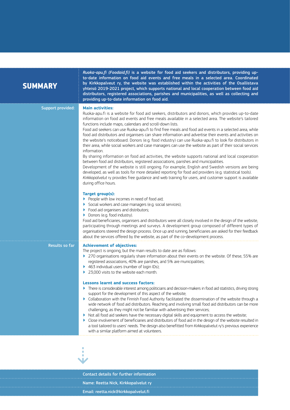## **SUMMARY**

*Ruoka-apu.fi (Foodaid.fi)* is a website for food aid seekers and distributors, providing upto-date information on food aid events and free meals in a selected area. Coordinated by Kirkkopalveut ry, the website was established within the activities of the Osallistava yhteisö 2019-2021 project, which supports national and local cooperation between food aid distributors, registered associations, parishes and municipalities, as well as collecting and providing up-to-date information on food aid.

Support provided: **Main activities:**

Ruoka-apu.fi is a website for food aid seekers, distributors and donors, which provides up-to-date information on food aid events and free meals available in a selected area. The website's tailored functions include maps, calendars and scroll-down lists.

Food aid seekers can use Ruoka-apu.fi to find free meals and food aid events in a selected area, while food aid distributors and organisers can share information and advertise their events and activities on the website's noticeboard. Donors (e.g. food industry) can use Ruoka-apu.fi to look for distributors in their area, while social workers and case managers can use the website as part of their social services information.

By sharing information on food aid activities, the website supports national and local cooperation between food aid distributors, registered associations, parishes and municipalities.

Development of the website is still ongoing. For example, English and Swedish versions are being developed, as well as tools for more detailed reporting for food aid providers (e.g. statistical tools).

*Kirkkopalvelut* ry provides free guidance and web training for users, and customer support is available during office hours.

## **Target group(s):**

- ▶ People with low incomes in need of food aid:
- Social workers and case managers (e.g. social services);
- ▶ Food aid organisers and distributors;
- ▶ Donors (e.g. food industry).

Food aid beneficiaries, organisers and distributors were all closely involved in the design of the website, participating through meetings and surveys. A development group composed of different types of organisations steered the design process. Once up and running, beneficiaries are asked for their feedback about the services offered by the website, as part of the co-development process.

## Results so far **Achievement of objectives:**

The project is ongoing, but the main results to date are as follows:

- ▶ 270 organisations regularly share information about their events on the website. Of these, 55% are registered associations, 40% are parishes, and 5% are municipalities;
- ▶ 463 individual users (number of login IDs):
- ▶ 23,000 visits to the website each month.

## **Lessons learnt and success factors:**

- ▶ There is considerable interest among politicians and decision-makers in food aid statistics, driving strong support for the development of this aspect of the website;
- ▶ Collaboration with the Finnish Food Authority facilitated the dissemination of the website through a wide network of food aid distributors. Reaching and involving small food aid distributors can be more challenging, as they might not be familiar with advertising their services;
- ▶ Not all food aid seekers have the necessary digital skills and equipment to access the website;
- ▶ Close involvement of beneficiaries and distributors of food aid in the design of the website resulted in a tool tailored to users' needs. The design also benefitted from Kirkkopalvelut ry's previous experience with a similar platform aimed at volunteers.



Contact details for further information Name: Reetta Nick, Kirkkopalvelut ry Email: [reetta.nick@kirkkopalvelut.fi](mailto:reetta.nick%40kirkkopalvelut.fi?subject=)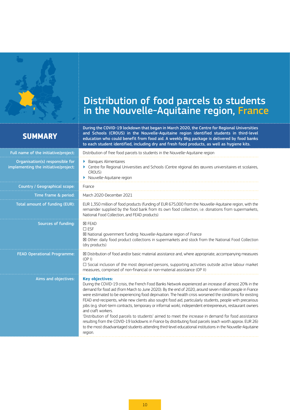<span id="page-9-0"></span>

# Distribution of food parcels to students in the Nouvelle-Aquitaine region, France

## **SUMMARY**

During the COVID-19 lockdown that began in March 2020, the Centre for Regional Universities and Schools (CROUS) in the Nouvelle-Aquitaine region identified students in third-level education who could benefit from food aid. A weekly 8kg package is delivered by food banks to each student identified, including dry and fresh food products, as well as hygiene kits.

| Full name of the initiative/project:                                    | Distribution of free food parcels to students in the Nouvelle-Aquitaine region                                                                                                                                                                                                                                                                                                                                                                                                                                                                                                                                                                                                                                                                                                                                                                                                                                                                            |  |
|-------------------------------------------------------------------------|-----------------------------------------------------------------------------------------------------------------------------------------------------------------------------------------------------------------------------------------------------------------------------------------------------------------------------------------------------------------------------------------------------------------------------------------------------------------------------------------------------------------------------------------------------------------------------------------------------------------------------------------------------------------------------------------------------------------------------------------------------------------------------------------------------------------------------------------------------------------------------------------------------------------------------------------------------------|--|
| Organisation(s) responsible for<br>implementing the initiative/project: | <b>Banques Alimentaires</b><br>Þ.<br>Centre for Regional Universities and Schools (Centre régional des œuvres universitaires et scolaires,<br>CROUS)<br>Nouvelle-Aquitaine region                                                                                                                                                                                                                                                                                                                                                                                                                                                                                                                                                                                                                                                                                                                                                                         |  |
| Country / Geographical scope:                                           | France                                                                                                                                                                                                                                                                                                                                                                                                                                                                                                                                                                                                                                                                                                                                                                                                                                                                                                                                                    |  |
| Time frame & period:                                                    | March 2020-December 2021                                                                                                                                                                                                                                                                                                                                                                                                                                                                                                                                                                                                                                                                                                                                                                                                                                                                                                                                  |  |
| Total amount of funding (EUR):                                          | EUR 1,350 million of food products (funding of EUR 675,000 from the Nouvelle-Aquitaine region, with the<br>remainder supplied by the food bank from its own food collection, i.e. donations from supermarkets,<br>National Food Collection, and FEAD products)                                                                                                                                                                                                                                                                                                                                                                                                                                                                                                                                                                                                                                                                                            |  |
| Sources of funding:                                                     | <b>X FEAD</b><br>$\square$ ESF<br>⊠ National government funding: Nouvelle-Aquitaine region of France<br>⊠ Other: daily food product collections in supermarkets and stock from the National Food Collection<br>(dry products)                                                                                                                                                                                                                                                                                                                                                                                                                                                                                                                                                                                                                                                                                                                             |  |
| <b>FEAD Operational Programme:</b>                                      | ⊠ Distribution of food and/or basic material assistance and, where appropriate, accompanying measures<br>(OP I)<br>$\Box$ Social inclusion of the most deprived persons, supporting activities outside active labour market<br>measures, comprised of non-financial or non-material assistance (OP II)                                                                                                                                                                                                                                                                                                                                                                                                                                                                                                                                                                                                                                                    |  |
| Aims and objectives:                                                    | <b>Key objectives:</b><br>During the COVID-19 crisis, the French Food Banks Network experienced an increase of almost 20% in the<br>demand for food aid (from March to June 2020). By the end of 2020, around seven million people in France<br>were estimated to be experiencing food deprivation. The health crisis worsened the conditions for existing<br>FEAD end-recipients, while new clients also sought food aid, particularly students, people with precarious<br>jobs (e.g. short-term contracts, temporary or informal work), independent entrepreneurs, restaurant owners<br>and craft workers.<br>'Distribution of food parcels to students' aimed to meet the increase in demand for food assistance<br>resulting from the COVID-19 lockdowns in France by distributing food parcels (each worth approx. EUR 26)<br>to the most disadvantaged students attending third-level educational institutions in the Nouvelle-Aquitaine<br>region. |  |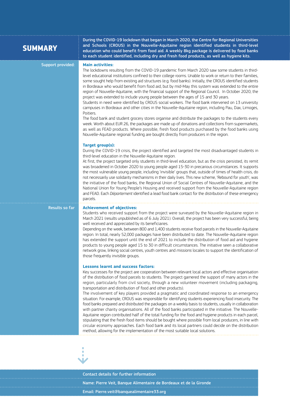| <b>SUMMARY</b>    | During the COVID-19 lockdown that began in March 2020, the Centre for Regional Universities<br>and Schools (CROUS) in the Nouvelle-Aquitaine region identified students in third-level<br>education who could benefit from food aid. A weekly 8kg package is delivered by food banks<br>to each student identified, including dry and fresh food products, as well as hygiene kits.                                                                                                                                                                                                                                                                                                                                                                                                                                                                                                                                                                                                                                                                                                                                                                                                                                                                                                             |
|-------------------|-------------------------------------------------------------------------------------------------------------------------------------------------------------------------------------------------------------------------------------------------------------------------------------------------------------------------------------------------------------------------------------------------------------------------------------------------------------------------------------------------------------------------------------------------------------------------------------------------------------------------------------------------------------------------------------------------------------------------------------------------------------------------------------------------------------------------------------------------------------------------------------------------------------------------------------------------------------------------------------------------------------------------------------------------------------------------------------------------------------------------------------------------------------------------------------------------------------------------------------------------------------------------------------------------|
| Support provided: | <b>Main activities:</b><br>The lockdowns resulting from the COVID-19 pandemic from March 2020 saw some students in third-<br>level educational institutions confined to their college rooms. Unable to work or return to their families,<br>some sought help from existing aid structures (e.g. food banks). Initially, the CROUS identified students<br>in Bordeaux who would benefit from food aid, but by mid-May this system was extended to the entire<br>region of Nouvelle-Aquitaine, with the financial support of the Regional Council. In October 2020, the<br>project was extended to include young people between the ages of 15 and 30 years.<br>Students in need were identified by CROUS social workers. The food bank intervened on 13 university<br>campuses in Bordeaux and other cities in the Nouvelle-Aquitaine region, including Pau, Dax, Limoges,<br>Poitiers.<br>The food bank and student grocery stores organise and distribute the packages to the students every<br>week. Worth about EUR 26, the packages are made up of donations and collections from supermarkets,<br>as well as FEAD products. Where possible, fresh food products purchased by the food banks using<br>Nouvelle-Aquitaine regional funding are bought directly from producers in the region. |
|                   | <b>Target group(s):</b><br>During the COVID-19 crisis, the project identified and targeted the most disadvantaged students in<br>third-level education in the Nouvelle-Aquitaine region.<br>At first, the project targeted only students in third-level education, but as the crisis persisted, its remit<br>was broadened in October 2020 to young people aged 15-30 in precarious circumstances. It supports<br>the most vulnerable young people, including 'invisible' groups that, outside of times of health crisis, do<br>not necessarily use solidarity mechanisms in their daily lives. This new scheme, 'Rebound for youth', was<br>the initiative of the food banks, the Regional Union of Social Centres of Nouvelle-Aquitaine, and the<br>National Union for Young People's Housing and received support from the Nouvelle-Aquitaine region<br>and FEAD. Each Département identified a lead food bank contact for the distribution of these emergency<br>parcels.                                                                                                                                                                                                                                                                                                                   |
| Results so far    | <b>Achievement of objectives:</b><br>Students who received support from the project were surveyed by the Nouvelle-Aquitaine region in<br>March 2021 (results unpublished as of 6 July 2021). Overall, the project has been very successful, being<br>well received and appreciated by its beneficiaries.<br>Depending on the week, between 800 and 1,400 students receive food parcels in the Nouvelle-Aquitaine<br>region. In total, nearly 52,000 packages have been distributed to date. The Nouvelle-Aquitaine region<br>has extended the support until the end of 2021 to include the distribution of food aid and hygiene<br>products to young people aged 15 to 30 in difficult circumstances. The initiative seen a collaborative<br>network grow, linking social centres, youth centres and missions locales to support the identification of<br>those frequently invisible groups.                                                                                                                                                                                                                                                                                                                                                                                                    |
|                   | <b>Lessons learnt and success factors:</b><br>Key successes for the project are cooperation between relevant local actors and effective organisation<br>of the distribution of food parcels to students. The project garnered the support of many actors in the<br>region, particularly from civil society, through a new volunteer movement (including packaging,<br>transportation and distribution of food and other products).<br>The involvement of key players provided a pragmatic and coordinated response to an emergency<br>situation. For example, CROUS was responsible for identifying students experiencing food insecurity. The<br>food banks prepared and distributed the packages on a weekly basis to students, usually in collaboration<br>with partner charity organisations. All of the food banks participated in the initiative. The Nouvelle-<br>Aquitaine region contributed half of the total funding for the food and hygiene products in each parcel,<br>stipulating that the fresh food items should be bought where possible from local producers, in line with<br>circular economy approaches. Each food bank and its local partners could decide on the distribution<br>method, allowing for the implementation of the most suitable local solutions.           |



Contact details for further information Name: Pierre Veit, Banque Alimentaire de Bordeaux et de la Gironde Email: [Pierre.veit@banquealimentaire33.org](mailto:Pierre.veit%40banquealimentaire33.org?subject=)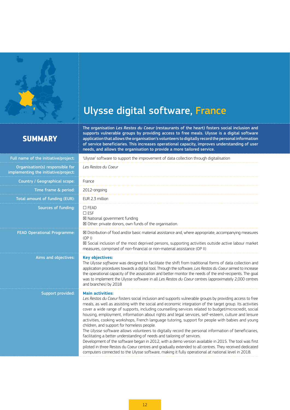<span id="page-11-0"></span>

# Ulysse digital software, France

## **SUMMARY**

The organisation *Les Restos du Coeur* (restaurants of the heart) fosters social inclusion and supports vulnerable groups by providing access to free meals. Ulysse is a digital software application that allows the organisation's volunteers to digitally record the personal information of service beneficiaries. This increases operational capacity, improves understanding of user needs, and allows the organisation to provide a more tailored service.

| Full name of the initiative/project:                                    | 'Ulysse' software to support the improvement of data collection through digitalisation                                                                                                                                                                                                                                                                                                                                                                                                                                                                                                                                                                                                                                                                                                                                                                                                                                                                                                                                                                                                                                      |  |
|-------------------------------------------------------------------------|-----------------------------------------------------------------------------------------------------------------------------------------------------------------------------------------------------------------------------------------------------------------------------------------------------------------------------------------------------------------------------------------------------------------------------------------------------------------------------------------------------------------------------------------------------------------------------------------------------------------------------------------------------------------------------------------------------------------------------------------------------------------------------------------------------------------------------------------------------------------------------------------------------------------------------------------------------------------------------------------------------------------------------------------------------------------------------------------------------------------------------|--|
| Organisation(s) responsible for<br>implementing the initiative/project: | Les Restos du Coeur                                                                                                                                                                                                                                                                                                                                                                                                                                                                                                                                                                                                                                                                                                                                                                                                                                                                                                                                                                                                                                                                                                         |  |
| Country / Geographical scope:                                           | France                                                                                                                                                                                                                                                                                                                                                                                                                                                                                                                                                                                                                                                                                                                                                                                                                                                                                                                                                                                                                                                                                                                      |  |
| Time frame & period:                                                    | 2012-ongoing                                                                                                                                                                                                                                                                                                                                                                                                                                                                                                                                                                                                                                                                                                                                                                                                                                                                                                                                                                                                                                                                                                                |  |
| Total amount of funding (EUR):                                          | EUR 2.3 million                                                                                                                                                                                                                                                                                                                                                                                                                                                                                                                                                                                                                                                                                                                                                                                                                                                                                                                                                                                                                                                                                                             |  |
| <b>Sources of funding:</b>                                              | $\Box$ FEAD<br>$\square$ ESF<br>⊠ National government funding<br>⊠ Other: private donors, own funds of the organisation.                                                                                                                                                                                                                                                                                                                                                                                                                                                                                                                                                                                                                                                                                                                                                                                                                                                                                                                                                                                                    |  |
| <b>FEAD Operational Programme:</b>                                      | ⊠ Distribution of food and/or basic material assistance and, where appropriate, accompanying measures<br>(OP I)<br>⊠ Social inclusion of the most deprived persons, supporting activities outside active labour market<br>measures, comprised of non-financial or non-material assistance (OP II)                                                                                                                                                                                                                                                                                                                                                                                                                                                                                                                                                                                                                                                                                                                                                                                                                           |  |
| Aims and objectives:                                                    | <b>Key objectives:</b><br>The Ulysse software was designed to facilitate the shift from traditional forms of data collection and<br>application procedures towards a digital tool. Through the software, Les Restos du Coeur aimed to increase<br>the operational capacity of the association and better monitor the needs of the end-recipients. The goal<br>was to implement the Ulysse software in all Les Restos du Coeur centres (approximately 2,000 centres<br>and branches) by 2018                                                                                                                                                                                                                                                                                                                                                                                                                                                                                                                                                                                                                                 |  |
| Support provided:                                                       | <b>Main activities:</b><br>Les Restos du Coeur fosters social inclusion and supports vulnerable groups by providing access to free<br>meals, as well as assisting with the social and economic integration of the target group. Its activities<br>cover a wide range of supports, including counselling services related to budget/microcredit, social<br>housing, employment, information about rights and legal services, self-esteem, culture and leisure<br>activities, cooking workshops, French language tutoring, support for people with babies and young<br>children, and support for homeless people.<br>The Ulysse software allows volunteers to digitally record the personal information of beneficiaries,<br>facilitating a better understanding of needs and tailoring of services.<br>Development of the software began in 2012, with a demo version available in 2015. The tool was first<br>piloted in three Restos du Coeur centres and gradually extended to all centres. They received dedicated<br>computers connected to the Ulysse software, making it fully operational at national level in 2018. |  |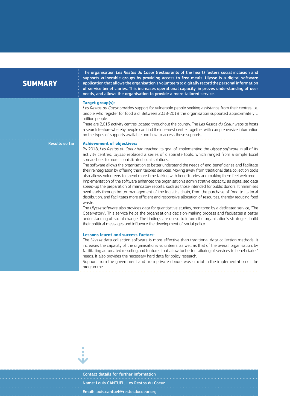## **SUMMARY**

The organisation *Les Restos du Coeur* (restaurants of the heart) fosters social inclusion and supports vulnerable groups by providing access to free meals. Ulysse is a digital software application that allows the organisation's volunteers to digitally record the personal information of service beneficiaries. This increases operational capacity, improves understanding of user needs, and allows the organisation to provide a more tailored service.

### **Target group(s):**

*Les Restos du Coeur* provides support for vulnerable people seeking assistance from their centres, i.e. people who register for food aid. Between 2018-2019 the organisation supported approximately 1 million people.

There are 2,013 activity centres located throughout the country. The *Les Restos du Coeur* website hosts a search feature whereby people can find their nearest centre, together with comprehensive information on the types of supports available and how to access those supports.

### Results so far **Achievement of objectives:**

By 2018, *Les Restos du Coeur* had reached its goal of implementing the *Ulysse software* in all of its activity centres. *Ulysse* replaced a series of disparate tools, which ranged from a simple Excel spreadsheet to more sophisticated local solutions.

The software allows the organisation to better understand the needs of end-beneficiaries and facilitate their reintegration by offering them tailored services. Moving away from traditional data collection tools also allows volunteers to spend more time talking with beneficiaries and making them feel welcome. Implementation of the software enhanced the organisation's administrative capacity, as digitalised data speed-up the preparation of mandatory reports, such as those intended for public donors. It minimises

overheads through better management of the logistics chain, from the purchase of food to its local distribution, and facilitates more efficient and responsive allocation of resources, thereby reducing food waste.

The *Ulysse* software also provides data for quantitative studies, monitored by a dedicated service, 'The Observatory'. This service helps the organisation's decision-making process and facilitates a better understanding of social change. The findings are usesd to inform the organisation's strategies, build their political messages and influence the development of social policy.

### **Lessons learnt and success factors:**

The *Ulysse* data collection software is more effective than traditional data collection methods. It increases the capacity of the organisation's volunteers, as well as that of the overall organisation, by facilitating automated reporting and features that allow for better tailoring of services to beneficiaries' needs. It also provides the necessary hard data for policy research.

Support from the government and from private donors was crucial in the implementation of the programme.



Contact details for further information Name: Louis CANTUEL, Les Restos du Coeur Email: [louis.cantuel@restosducoeur.org](mailto:louis.cantuel%40restosducoeur.org?subject=)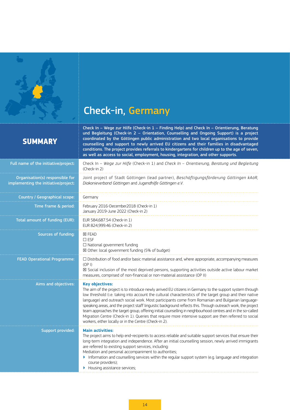<span id="page-13-0"></span>

# Check-in, Germany

Check In – Wege zur Hilfe (Check-in 1 – Finding Help) and Check In – Orientierung, Beratung

## **SU**

Organisa implementin

| <b>SUMMARY</b>                                                         | und Begleitung (Check-in 2 - Orientation, Counselling and Ongoing Support) is a project<br>coordinated by the Göttingen public administration and two local organisations to provide<br>counselling and support to newly arrived EU citizens and their families in disadvantaged<br>conditions. The project provides referrals to kindergartens for children up to the age of seven,<br>as well as access to social, employment, housing, integration, and other supports.                                                                                                                                                                                                                                                                                |
|------------------------------------------------------------------------|-----------------------------------------------------------------------------------------------------------------------------------------------------------------------------------------------------------------------------------------------------------------------------------------------------------------------------------------------------------------------------------------------------------------------------------------------------------------------------------------------------------------------------------------------------------------------------------------------------------------------------------------------------------------------------------------------------------------------------------------------------------|
| Full name of the initiative/project:                                   | Check In - Wege zur Hilfe (Check-in 1) and Check In - Orientierung, Beratung und Begleitung<br>(Check-in 2)                                                                                                                                                                                                                                                                                                                                                                                                                                                                                                                                                                                                                                               |
| Organisation(s) responsible for<br>mplementing the initiative/project: | Joint project of Stadt Göttingen (lead partner), Beschäftigungsförderung Göttingen kAöR,<br>Diakonieverband Göttingen and Jugendhilfe Göttingen e.V.                                                                                                                                                                                                                                                                                                                                                                                                                                                                                                                                                                                                      |
| Country / Geographical scope:                                          | Germany                                                                                                                                                                                                                                                                                                                                                                                                                                                                                                                                                                                                                                                                                                                                                   |
| Time frame & period:                                                   | February 2016-December2018 (Check-in 1)<br>January 2019-June 2022 (Check-in 2)                                                                                                                                                                                                                                                                                                                                                                                                                                                                                                                                                                                                                                                                            |
| Total amount of funding (EUR):                                         | EUR 584,687.54 (Check-in 1)<br>EUR 824,999.46 (Check-in 2)                                                                                                                                                                                                                                                                                                                                                                                                                                                                                                                                                                                                                                                                                                |
| Sources of funding:                                                    | <b>区 FEAD</b><br>$\square$ ESF<br>$\Box$ National government funding<br>⊠ Other: local government funding (5% of budget)                                                                                                                                                                                                                                                                                                                                                                                                                                                                                                                                                                                                                                  |
| <b>FEAD Operational Programme:</b>                                     | $\Box$ Distribution of food and/or basic material assistance and, where appropriate, accompanying measures<br>(OP I)<br>⊠ Social inclusion of the most deprived persons, supporting activities outside active labour market<br>measures, comprised of non-financial or non-material assistance (OP II)                                                                                                                                                                                                                                                                                                                                                                                                                                                    |
| Aims and objectives:                                                   | <b>Key objectives:</b><br>The aim of the project is to introduce newly arrived EU citizens in Germany to the support system through<br>low threshold (i.e. taking into account the cultural characteristics of the target group and their native<br>language) and outreach social work. Most participants come from Romanian and Bulgarian language-<br>speaking areas, and the project staff linguistic background reflects this. Through outreach work, the project<br>team approaches the target group, offering initial counselling in neighbourhood centres and in the so-called<br>Migration Centre (Check-in 1). Queries that require more intensive support are then referred to social<br>workers, either locally or in the Centre (Check-in 2). |
| Support provided:                                                      | <b>Main activities:</b><br>The project aims to help end-recipients to access reliable and suitable support services that ensure their<br>long-term integration and independence. After an initial counselling session, newly arrived immigrants<br>are referred to existing support services, including:<br>Mediation and personal accompaniment to authorities;<br>Information and counselling services within the regular support system (e.g. language and integration<br>course providers);<br>Housing assistance services;                                                                                                                                                                                                                           |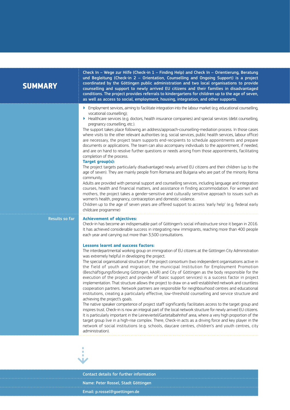## **SUMMARY**

Check In – Wege zur Hilfe (Check-in 1 – Finding Help) and Check In – Orientierung, Beratung und Begleitung (Check-in 2 – Orientation, Counselling and Ongoing Support) is a project coordinated by the Göttingen public administration and two local organisations to provide counselling and support to newly arrived EU citizens and their families in disadvantaged conditions. The project provides referrals to kindergartens for children up to the age of seven, as well as access to social, employment, housing, integration, and other supports.

- ▶ Employment services, aiming to facilitate integration into the labour market (e.g. educational counselling, vocational counselling);
- ▶ Healthcare services (e.g. doctors, health insurance companies) and special services (debt counselling, pregnancy counselling, etc.).

The support takes place following an address/approach-counselling-mediation process. In those cases where visits to the other relevant authorities (e.g. social services, public health services, labour office) are necessary, the project team supports end-recipients to schedule appointments and prepare documents or applications. The team can also accompany individuals to the appointment, if needed, and are on hand to resolve further questions or needs arising from those appointments, facilitating completion of the process.

## **Target group(s):**

The project targets particularly disadvantaged newly arrived EU citizens and their children (up to the age of seven). They are mainly people from Romania and Bulgaria who are part of the minority Roma community.

Adults are provided with personal support and counselling services, including language and integration courses, health and financial matters, and assistance in finding accommodation. For women and mothers, the project takes a gender-sensitive and culturally sensitive approach to issues such as women's health, pregnancy, contraception and domestic violence.

Children up to the age of seven years are offered support to access 'early help' (e.g. federal early childcare programme)

### Results so far **Achievement of objectives:**

Check-in has become an indispensable part of Göttingen's social infrastructure since it began in 2016. It has achieved considerable success in integrating new immigrants, reaching more than 400 people each year and carrying out more than 3,500 consultations.

### **Lessons learnt and success factors:**

The interdepartmental working group on immigration of EU citizens at the Göttingen City Administration was extremely helpful in developing the project.

The special organisational structure of the project consortium (two independent organisations active in the field of youth and migration; the municipal Institution for Employment Promotion (Beschäftigungsförderung Göttingen, kAöR) and City of Göttingen as the body responsible for the execution of the project and provider of basic support services) is a success factor in project implementation. That structure allows the project to draw on a well-established network and countless cooperation partners. Network partners are responsible for neighbourhood centres and educational institutions, creating a particularly effective, low-threshold counselling and service structure and achieving the project's goals.

The native speaker competence of project staff significantly facilitates access to the target group and inspires trust. Check-in is now an integral part of the local network structure for newly arrived EU citizens. It is particularly important in the Leineviertel/Gartetalbahnhof area, where a very high proportion of the target group live in a high-rise complex. There, Check-in acts as a driving force and key player in the network of social institutions (e.g. schools, daycare centres, children's and youth centres, city administration).



Contact details for further information Name: Peter Rossel, Stadt Göttingen Email: [p.rossel@goettingen.de](mailto:p.rossel%40goettingen.de?subject=)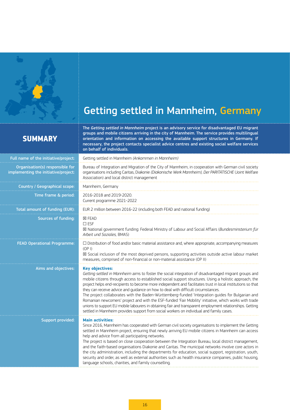<span id="page-15-0"></span>

# Getting settled in Mannheim, Germany

## **SUMMARY**

The *Getting settled in Mannheim* project is an advisory service for disadvantaged EU migrant groups and mobile citizens arriving in the city of Mannheim. The service provides multilingual orientation and information on accessing the available support structures in Germany. If necessary, the project contacts specialist advice centres and existing social welfare services on behalf of individuals.

| Full name of the initiative/project:                                    | Getting settled in Mannheim (Ankommen in Mannheim)                                                                                                                                                                                                                                                                                                                                                                                                                                                                                                                                                                                                                                                                                                                                                                                                                    |  |
|-------------------------------------------------------------------------|-----------------------------------------------------------------------------------------------------------------------------------------------------------------------------------------------------------------------------------------------------------------------------------------------------------------------------------------------------------------------------------------------------------------------------------------------------------------------------------------------------------------------------------------------------------------------------------------------------------------------------------------------------------------------------------------------------------------------------------------------------------------------------------------------------------------------------------------------------------------------|--|
| Organisation(s) responsible for<br>implementing the initiative/project: | Bureau of Integration and Migration of the City of Mannheim, in cooperation with German civil society<br>organisations including Caritas, Diakonie (Diakonische Werk Mannheim), Der PARITÄTISCHE (Joint Welfare<br>Association) and local district management                                                                                                                                                                                                                                                                                                                                                                                                                                                                                                                                                                                                         |  |
| Country / Geographical scope:                                           | Mannheim, Germany                                                                                                                                                                                                                                                                                                                                                                                                                                                                                                                                                                                                                                                                                                                                                                                                                                                     |  |
| Time frame & period:                                                    | 2016-2018 and 2019-2020.<br>Current programme 2021-2022                                                                                                                                                                                                                                                                                                                                                                                                                                                                                                                                                                                                                                                                                                                                                                                                               |  |
| Total amount of funding (EUR):                                          | EUR 2 million between 2016-22 (including both FEAD and national funding)                                                                                                                                                                                                                                                                                                                                                                                                                                                                                                                                                                                                                                                                                                                                                                                              |  |
| Sources of funding:                                                     | <b>区 FEAD</b><br>$\square$ ESF<br>⊠ National government funding: Federal Ministry of Labour and Social Affairs (Bundesminsterium für<br>Arbeit und Soziales, BMAS)                                                                                                                                                                                                                                                                                                                                                                                                                                                                                                                                                                                                                                                                                                    |  |
| <b>FEAD Operational Programme:</b>                                      | $\Box$ Distribution of food and/or basic material assistance and, where appropriate, accompanying measures<br>(OP I)<br>⊠ Social inclusion of the most deprived persons, supporting activities outside active labour market<br>measures, comprised of non-financial or non-material assistance (OP II)                                                                                                                                                                                                                                                                                                                                                                                                                                                                                                                                                                |  |
| Aims and objectives:                                                    | <b>Key objectives:</b><br>Getting settled in Mannheim aims to foster the social integration of disadvantaged migrant groups and<br>mobile citizens through access to established social support structures. Using a holistic approach, the<br>project helps end-recipients to become more independent and facilitates trust in local institutions so that<br>they can receive advice and guidance on how to deal with difficult circumstances.<br>The project collaborates with the Baden-Württemberg-funded 'Integration guides for Bulgarian and<br>Romanian newcomers' project and with the ESF-funded 'Fair Mobility' initiative, which works with trade<br>unions to support EU mobile labourers in obtaining fair and transparent employment relationships. Getting<br>settled in Mannheim provides support from social workers on individual and family cases. |  |
| <b>Support provided:</b>                                                | <b>Main activities:</b><br>Since 2016, Mannheim has cooperated with German civil society organisations to implement the Getting<br>settled in Mannheim project, ensuring that newly arriving EU mobile citizens in Mannheim can access<br>help and advice from all participating networks.<br>The project is based on close cooperation between the Integration Bureau, local district management,<br>and the faith-based organisations Diakonie and Caritas. The municipal networks involve core actors in<br>the city administration, including the departments for education, social support, registration, youth,<br>security and order, as well as external authorities such as health insurance companies, public housing,<br>language schools, charities, and family counselling.                                                                              |  |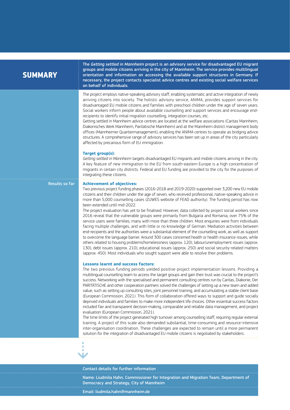## **SUMMARY**

The *Getting settled in Mannheim* project is an advisory service for disadvantaged EU migrant groups and mobile citizens arriving in the city of Mannheim. The service provides multilingual orientation and information on accessing the available support structures in Germany. If necessary, the project contacts specialist advice centres and existing social welfare services on behalf of individuals.

The project employs native-speaking advisory staff, enabling systematic and active integration of newly arriving citizens into society. The holistic advisory service, ANIMA, provides support services for disadvantaged EU mobile citizens and families with preschool children under the age of seven years. Social workers inform people about available counselling and support services and encourage endrecipients to identify initial migration counselling, integration courses, etc.

Getting settled in Mannheim advice centres are located at the welfare associations (Caritas Mannheim, Diakonisches Werk Mannheim, Paritätische Mannheim) and at the Mannheim district management body offices (Mannheimer Quartiermanagement), enabling the ANIMA centres to operate as bridging advice structures. A comprehensive range of advisory services has been set up in areas of the city particularly affected by precarious form of EU immigration.

## **Target group(s):**

*Getting settled in Mannheim* targets disadvantaged EU migrants and mobile citizens arriving in the city. A key feature of new immigration to the EU from south-eastern Europe is a high concentration of migrants in certain city districts. Federal and EU funding are provided to the city for the purposes of integrating these citizens.

### Results so far **Achievement of objectives:**

Two previous project funding phases (2016-2018 and 2019-2020) supported over 3,200 new EU mobile citizens and their children under the age of seven, who received professional, native-speaking advice in more than 5,000 counselling cases (ZUWES website of FEAD authority). The funding period has now been extended until mid-2022.

The project evaluation has yet to be finalised. However, data collected by project social workers since 2016 reveal that the vulnerable groups were primarily from Bulgaria and Romania, over 75% of the service users were families, many with more than three children. Most enquiries were from individuals facing multiple challenges, and with little or no knowledge of German. Mediation activities between end-recipients and the authorities were a substantial element of the counselling work, as well as support to overcome the language barrier. Around 300 cases concerned health or health insurance issues, while others related to housing problems/homelessness (approx. 120), labour/unemployment issues (approx. 130), debt issues (approx. 210), educational issues (approx. 250) and social security-related matters (approx. 450). Most individuals who sought support were able to resolve their problems.

## **Lessons learnt and success factors:**

The two previous funding periods yielded positive project implementation lessons. Providing a multilingual counselling team to access the target groups and gain their trust was crucial to the project's success. Networking with the specialised and permanent consulting centres run by Caritas, Diakonie, Der PARITÄTISCHE and other cooperation partners solved the challenges of setting up a new team and added value, such as setting up consulting sites, joint personnel training, and accumulating a stable client base (European Commission, 2021). This form of collaboration offered ways to support and guide socially deprived individuals and families to make more independent life choices. Other essential success factors included fair and transparent decision-making, comparable and reliable data management, and project evaluation (European Commission, 2021).

The time limits of the project generated high turnover among counselling staff, requiring regular external training. A project of this scale also demanded substantial, time-consuming and resource-intensive inter-organisation coordination. These challenges are expected to remain until a more permanent solution for the integration of disadvantaged EU mobile citizens is negotiated by stakeholders.



### Contact details for further information

Name: Liudmila Hahn, Commissioner for Integration and Migration Team, Department of Democracy and Strategy, City of Mannheim

Email: [liudmila.hahn@mannheim.de](mailto:liudmila.hahn%40mannheim.de?subject=)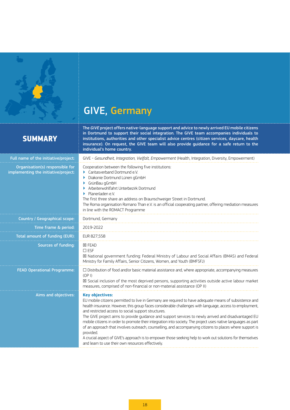<span id="page-17-0"></span>

# GIVE, Germany

## **SUMMARY**

The *GIVE* project offers native-language support and advice to newly arrived EU mobile citizens in Dortmund to support their social integration. The GIVE team accompanies individuals to institutions, authorities and other specialist advice centres (citizen services, daycare, health insurance). On request, the GIVE team will also provide guidance for a safe return to the individual's home country.

| Full name of the initiative/project:                                    | GIVE - Gesundheit, Integration, Vielfalt, Empowerment (Health, Integration, Diversity, Empowerment)                                                                                                                                                                                                                                                                                                                                                                                                                                                                                                                                                                                                                                                                                                                     |  |  |
|-------------------------------------------------------------------------|-------------------------------------------------------------------------------------------------------------------------------------------------------------------------------------------------------------------------------------------------------------------------------------------------------------------------------------------------------------------------------------------------------------------------------------------------------------------------------------------------------------------------------------------------------------------------------------------------------------------------------------------------------------------------------------------------------------------------------------------------------------------------------------------------------------------------|--|--|
| Organisation(s) responsible for<br>implementing the initiative/project: | Cooperation between the following five institutions:<br>$\blacktriangleright$ Caritasverband Dortmund e.V.<br>Diakonie Dortmund Lünen gGmbH<br>GrünBau gGmbH<br>Arbeiterwohlfahrt Unterbezirk Dortmund<br>Planerladen e.V.<br>ь<br>The first three share an address on Braunschweiger Street in Dortmund.<br>The Roma organisation Romano Than e.V. is an official cooperating partner, offering mediation measures<br>in line with the ROMACT Programme                                                                                                                                                                                                                                                                                                                                                                |  |  |
| Country / Geographical scope:                                           | Dortmund, Germany                                                                                                                                                                                                                                                                                                                                                                                                                                                                                                                                                                                                                                                                                                                                                                                                       |  |  |
| Time frame & period:                                                    | 2019-2022                                                                                                                                                                                                                                                                                                                                                                                                                                                                                                                                                                                                                                                                                                                                                                                                               |  |  |
| Total amount of funding (EUR):                                          | EUR 827,558                                                                                                                                                                                                                                                                                                                                                                                                                                                                                                                                                                                                                                                                                                                                                                                                             |  |  |
| Sources of funding:                                                     | <b>X FEAD</b><br>$\square$ ESF<br>⊠ National government funding: Federal Ministry of Labour and Social Affairs (BMAS) and Federal<br>Ministry for Family Affairs, Senior Citizens, Women, and Youth (BMFSFJ)                                                                                                                                                                                                                                                                                                                                                                                                                                                                                                                                                                                                            |  |  |
| <b>FEAD Operational Programme:</b>                                      | $\Box$ Distribution of food and/or basic material assistance and, where appropriate, accompanying measures<br>(OP I)<br>⊠ Social inclusion of the most deprived persons, supporting activities outside active labour market<br>measures, comprised of non-financial or non-material assistance (OP II)                                                                                                                                                                                                                                                                                                                                                                                                                                                                                                                  |  |  |
| Aims and objectives:                                                    | <b>Key objectives:</b><br>EU mobile citizens permitted to live in Germany are required to have adequate means of subsistence and<br>health insurance. However, this group faces considerable challenges with language, access to employment,<br>and restricted access to social support structures.<br>The GIVE project aims to provide quidance and support services to newly arrived and disadvantaged EU<br>mobile citizens in order to promote their integration into society. The project uses native languages as part<br>of an approach that involves outreach, counselling, and accompanying citizens to places where support is<br>provided.<br>A crucial aspect of GIVE's approach is to empower those seeking help to work out solutions for themselves<br>and learn to use their own resources effectively. |  |  |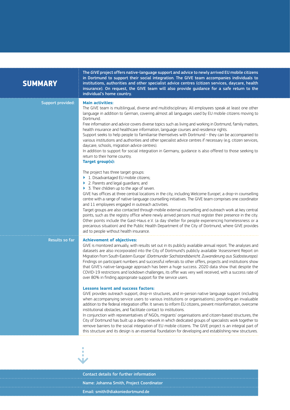| <b>SUMMARY</b>           | The GIVE project offers native-language support and advice to newly arrived EU mobile citizens<br>in Dortmund to support their social integration. The GIVE team accompanies individuals to<br>institutions, authorities and other specialist advice centres (citizen services, daycare, health<br>insurance). On request, the GIVE team will also provide guidance for a safe return to the<br>individual's home country.                                                                                                                                                                                                                                                                                                                                                                                                                                                                                                                                                                                                                                                                                                                                                                                                                                                                                                                                                                                                                                                                                                                                                                                                                         |
|--------------------------|----------------------------------------------------------------------------------------------------------------------------------------------------------------------------------------------------------------------------------------------------------------------------------------------------------------------------------------------------------------------------------------------------------------------------------------------------------------------------------------------------------------------------------------------------------------------------------------------------------------------------------------------------------------------------------------------------------------------------------------------------------------------------------------------------------------------------------------------------------------------------------------------------------------------------------------------------------------------------------------------------------------------------------------------------------------------------------------------------------------------------------------------------------------------------------------------------------------------------------------------------------------------------------------------------------------------------------------------------------------------------------------------------------------------------------------------------------------------------------------------------------------------------------------------------------------------------------------------------------------------------------------------------|
| <b>Support provided:</b> | <b>Main activities:</b><br>The GIVE team is multilingual, diverse and multidisciplinary. All employees speak at least one other<br>language in addition to German, covering almost all languages used by EU mobile citizens moving to<br>Dortmund.<br>Free information and advice covers diverse topics such as living and working in Dortmund, family matters,<br>health insurance and healthcare information, language courses and residence rights.<br>Support seeks to help people to familiarise themselves with Dortmund - they can be accompanied to<br>various institutions and authorities and other specialist advice centres if necessary (e.g. citizen services,<br>daycare, schools, migration advice centres).<br>In addition to support for social integration in Germany, guidance is also offered to those seeking to<br>return to their home country.<br>Target group(s):                                                                                                                                                                                                                                                                                                                                                                                                                                                                                                                                                                                                                                                                                                                                                        |
|                          | The project has three target groups:<br>1. Disadvantaged EU mobile citizens;<br>▶ 2. Parents and legal guardians; and<br>> 3. Their children up to the age of seven.<br>GIVE has offices at three central locations in the city, including Welcome Europe!, a drop-in counselling<br>centre with a range of native-language counselling initiatives. The GIVE team comprises one coordinator<br>and 11 employees engaged in outreach activities.<br>Target groups are also contacted through mobile external counselling and outreach work at key central<br>points, such as the registry office where newly arrived persons must register their presence in the city.<br>Other points include the Gast-Haus e.V. (a day shelter for people experiencing homelessness or a<br>precarious situation) and the Public Health Department of the City of Dortmund, where GIVE provides<br>aid to people without health insurance.                                                                                                                                                                                                                                                                                                                                                                                                                                                                                                                                                                                                                                                                                                                       |
| Results so far           | <b>Achievement of objectives:</b><br>GIVE is monitored annually, with results set out in its publicly available annual report. The analyses and<br>datasets are also incorporated into the City of Dortmund's publicly available 'Assessment Report on<br>Migration from South-Eastern Europe' (Dortmunder Sachstandsbericht. Zuwanderung aus Südosteuropa).<br>Findings on participant numbers and successful referrals to other offers, projects and institutions show<br>that GIVE's native-language approach has been a huge success. 2020 data show that despite the<br>COVID-19 restrictions and lockdown challenges, its offer was very well received, with a success rate of<br>over 80% in finding appropriate support for the service users.<br><b>Lessons learnt and success factors:</b><br>GIVE provides outreach support, drop-in structures, and in-person native language support (including<br>when accompanying service users to various institutions or organisations), providing an invaluable<br>addition to the federal integration offer. It serves to inform EU citizens, prevent misinformation, overcome<br>institutional obstacles, and facilitate contact to institutions.<br>In conjunction with representatives of NGOs, migrants' organisations and citizen-based structures, the<br>City of Dortmund has built up a deep network in which dedicated groups of specialists work together to<br>remove barriers to the social integration of EU mobile citizens. The GIVE project is an integral part of<br>this structure and its design is an essential foundation for developing and establishing new structures. |
|                          |                                                                                                                                                                                                                                                                                                                                                                                                                                                                                                                                                                                                                                                                                                                                                                                                                                                                                                                                                                                                                                                                                                                                                                                                                                                                                                                                                                                                                                                                                                                                                                                                                                                    |

Contact details for further information Name: Johanna Smith, Project Coordinator Email: [smith@diakoniedortmund.de](mailto:smith%40diakoniedortmund.de?subject=)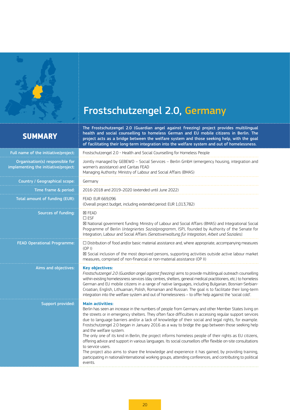<span id="page-19-0"></span>

# Frostschutzengel 2.0, Germany

## **SUMMARY**

The Frostschutzengel 2.0 (Guardian angel against freezing) project provides multilingual health and social counselling to homeless German and EU mobile citizens in Berlin. The project acts as a bridge between the welfare system and those seeking help, with the goal of facilitating their long-term integration into the welfare system and out of homelessness.

| Full name of the initiative/project:                                    | Frostschutzengel 2.0 - Health and Social Counselling for Homeless People                                                                                                                                                                                                                                                                                                                                                                                                                                                                                                                                                                                                                                                                                                                                                                                                                                                                                         |  |
|-------------------------------------------------------------------------|------------------------------------------------------------------------------------------------------------------------------------------------------------------------------------------------------------------------------------------------------------------------------------------------------------------------------------------------------------------------------------------------------------------------------------------------------------------------------------------------------------------------------------------------------------------------------------------------------------------------------------------------------------------------------------------------------------------------------------------------------------------------------------------------------------------------------------------------------------------------------------------------------------------------------------------------------------------|--|
| Organisation(s) responsible for<br>implementing the initiative/project: | Jointly managed by GEBEWO - Social Services - Berlin GmbH (emergency housing, integration and<br>women's assistance) and Caritas FEAD<br>Managing Authority: Ministry of Labour and Social Affairs (BMAS)                                                                                                                                                                                                                                                                                                                                                                                                                                                                                                                                                                                                                                                                                                                                                        |  |
| Country / Geographical scope:                                           | Germany                                                                                                                                                                                                                                                                                                                                                                                                                                                                                                                                                                                                                                                                                                                                                                                                                                                                                                                                                          |  |
| Time frame & period:                                                    | 2016-2018 and 2019-2020 (extended until June 2022)                                                                                                                                                                                                                                                                                                                                                                                                                                                                                                                                                                                                                                                                                                                                                                                                                                                                                                               |  |
| Total amount of funding (EUR):                                          | FEAD: EUR 669,096<br>(Overall project budget, including extended period: EUR 1,013,782)                                                                                                                                                                                                                                                                                                                                                                                                                                                                                                                                                                                                                                                                                                                                                                                                                                                                          |  |
| Sources of funding:                                                     | <b>区 FEAD</b><br>$\square$ ESF<br>⊠ National government funding: Ministry of Labour and Social Affairs (BMAS) and Integrational Social<br>Programme of Berlin (Integriertes Sozialprogramm, ISP), founded by Authority of the Senate for<br>Integration, Labour and Social Affairs (Senatsverwaltung für Integration, Arbeit und Soziales).                                                                                                                                                                                                                                                                                                                                                                                                                                                                                                                                                                                                                      |  |
| <b>FEAD Operational Programme:</b>                                      | $\square$ Distribution of food and/or basic material assistance and, where appropriate, accompanying measures<br>(OP I)<br>⊠ Social inclusion of the most deprived persons, supporting activities outside active labour market<br>measures, comprised of non-financial or non-material assistance (OP II)                                                                                                                                                                                                                                                                                                                                                                                                                                                                                                                                                                                                                                                        |  |
| Aims and objectives:                                                    | <b>Key objectives:</b><br>Frostschutzengel 2.0 (Guardian angel against freezing) aims to provide multilingual outreach counselling<br>within existing homelessness services (day centres, shelters, general medical practitioners, etc.) to homeless<br>German and EU mobile citizens in a range of native languages, including Bulgarian, Bosnian-Serbian-<br>Croatian, English, Lithuanian, Polish, Romanian and Russian. The goal is to facilitate their long-term<br>integration into the welfare system and out of homelessness - to offer help against the 'social cold'.                                                                                                                                                                                                                                                                                                                                                                                  |  |
| <b>Support provided:</b>                                                | <b>Main activities:</b><br>Berlin has seen an increase in the numbers of people from Germany and other Member States living on<br>the streets or in emergency shelters. They often face difficulties in accessing regular support services<br>due to language barriers and/or a lack of knowledge of their social and legal rights, for example.<br>Frostschutzengel 2.0 began in January 2016 as a way to bridge the gap between those seeking help<br>and the welfare system.<br>The only one of its kind in Berlin, the project informs homeless people of their rights as EU citizens,<br>offering advice and support in various languages. Its social counsellors offer flexible on-site consultations<br>to service users.<br>The project also aims to share the knowledge and experience it has gained, by providing training,<br>participating in national/international working groups, attending conferences, and contributing to political<br>events. |  |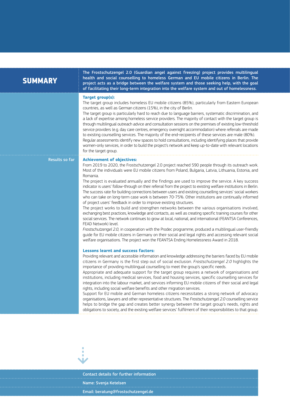|  |  | <b>SUMMARY</b> |
|--|--|----------------|
|  |  |                |

The Frostschutzengel 2.0 (Guardian angel against freezing) project provides multilingual health and social counselling to homeless German and EU mobile citizens in Berlin. The project acts as a bridge between the welfare system and those seeking help, with the goal of facilitating their long-term integration into the welfare system and out of homelessness.

### **Target group(s):**

The target group includes homeless EU mobile citizens (85%), particularly from Eastern European countries, as well as German citizens (15%), in the city of Berlin.

The target group is particularly hard to reach due to language barriers, systematic discrimination, and a lack of expertise among homeless service providers. The majority of contact with the target group is through multilingual outreach advice and consultation sessions on the premises of existing low-threshold service providers (e.g. day care centres, emergency overnight accommodation) where referrals are made to existing counselling services. The majority of the end-recipients of these services are male (80%). Regular assessments identify new spaces to hold consultations, including identifying places that provide

women-only services, in order to build the project's network and keep up-to-date with relevant locations for the target group.

### Results so far **Achievement of objectives:**

From 2019 to 2020, the Frostschutzengel 2.0 project reached 590 people through its outreach work. Most of the individuals were EU mobile citizens from Poland, Bulgaria, Latvia, Lithuania, Estonia, and Romania.

The project is evaluated annually and the findings are used to improve the service. A key success indicator is users' follow-through on their referral from the project to existing welfare institutions in Berlin. The success rate for building connections between users and existing counselling services' social workers who can take on long-term case work is between 70-75%. Other institutions are continually informed of project users' feedback in order to improve existing structures.

The project works to build and strengthen networks between the various organisations involved, exchanging best practices, knowledge and contacts, as well as creating specific training courses for other social services. The network continues to grow at local, national, and international (FEANTSA Conferences, FEAD Network) level.

*Frostschutzengel 2.0,* in cooperation with the Prodec programme, produced a multilingual user-friendly guide for EU mobile citizens in Germany on their social and legal rights and accessing relevant social welfare organisations. The project won the FEANTSA Ending Homelessness Award in 2018.

## **Lessons learnt and success factors:**

Providing relevant and accessible information and knowledge addressing the barriers faced by EU mobile citizens in Germany is the first step out of social exclusion. *Frostschutzengel 2.0* highlights the importance of providing multilingual counselling to meet the group's specific needs.

Appropriate and adequate support for the target group requires a network of organisations and institutions, including medical services, food and housing services, specific counselling services for integration into the labour market, and services informing EU mobile citizens of their social and legal rights, including social welfare benefits and other migration services.

Support for EU mobile and German homeless citizens necessitates a strong network of advocacy organisations, lawyers and other representative structures. The *Frostschutzengel 2.0* counselling service helps to bridge the gap and creates better synergy between the target group's needs, rights and obligations to society, and the existing welfare services' fulfilment of their responsibilities to that group.



Contact details for further information Name: Svenja Ketelsen Email: [beratung@frostschutzengel.de](mailto:beratung%40frostschutzengel.de?subject=)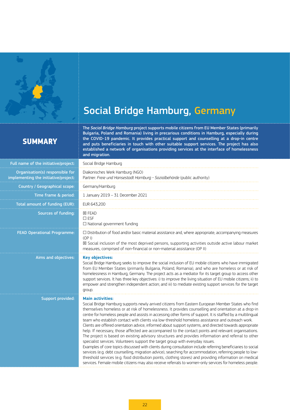<span id="page-21-0"></span>

# Social Bridge Hamburg, Germany

## **SUMMARY**

The *Social Bridge Hamburg* project supports mobile citizens from EU Member States (primarily Bulgaria, Poland and Romania) living in precarious conditions in Hamburg, especially during the COVID-19 pandemic. It provides practical support and counselling at a drop-in centre and puts beneficiaries in touch with other suitable support services. The project has also established a network of organisations providing services at the interface of homelessness and migration.

| Full name of the initiative/project:                                    | Social Bridge Hamburg                                                                                                                                                                                                                                                                                                                                                                                                                                                                                                                                                                                                                                                                                                                                                                                                                                                                                                                                                                                                                                                                                                                                                                                                                                                                                                     |  |
|-------------------------------------------------------------------------|---------------------------------------------------------------------------------------------------------------------------------------------------------------------------------------------------------------------------------------------------------------------------------------------------------------------------------------------------------------------------------------------------------------------------------------------------------------------------------------------------------------------------------------------------------------------------------------------------------------------------------------------------------------------------------------------------------------------------------------------------------------------------------------------------------------------------------------------------------------------------------------------------------------------------------------------------------------------------------------------------------------------------------------------------------------------------------------------------------------------------------------------------------------------------------------------------------------------------------------------------------------------------------------------------------------------------|--|
| Organisation(s) responsible for<br>implementing the initiative/project: | Diakonisches Werk Hamburg (NGO)<br>Partner: Freie und Hansestadt Hamburg - Sozialbehörde (public authority)                                                                                                                                                                                                                                                                                                                                                                                                                                                                                                                                                                                                                                                                                                                                                                                                                                                                                                                                                                                                                                                                                                                                                                                                               |  |
| Country / Geographical scope:                                           | Germany/Hamburg                                                                                                                                                                                                                                                                                                                                                                                                                                                                                                                                                                                                                                                                                                                                                                                                                                                                                                                                                                                                                                                                                                                                                                                                                                                                                                           |  |
| Time frame & period:                                                    | 1 January 2019 - 31 December 2021                                                                                                                                                                                                                                                                                                                                                                                                                                                                                                                                                                                                                                                                                                                                                                                                                                                                                                                                                                                                                                                                                                                                                                                                                                                                                         |  |
| Total amount of funding (EUR):                                          | EUR 643,200                                                                                                                                                                                                                                                                                                                                                                                                                                                                                                                                                                                                                                                                                                                                                                                                                                                                                                                                                                                                                                                                                                                                                                                                                                                                                                               |  |
| Sources of funding:                                                     | <b>X FEAD</b><br>$\square$ ESF<br>$\Box$ National government funding                                                                                                                                                                                                                                                                                                                                                                                                                                                                                                                                                                                                                                                                                                                                                                                                                                                                                                                                                                                                                                                                                                                                                                                                                                                      |  |
| <b>FEAD Operational Programme:</b>                                      | $\Box$ Distribution of food and/or basic material assistance and, where appropriate, accompanying measures<br>(OP I)<br>$\boxtimes$ Social inclusion of the most deprived persons, supporting activities outside active labour market<br>measures, comprised of non-financial or non-material assistance (OP II)                                                                                                                                                                                                                                                                                                                                                                                                                                                                                                                                                                                                                                                                                                                                                                                                                                                                                                                                                                                                          |  |
| Aims and objectives:                                                    | <b>Key objectives:</b><br>Social Bridge Hamburg seeks to improve the social inclusion of EU mobile citizens who have immigrated<br>from EU Member States (primarily Bulgaria, Poland, Romania), and who are homeless or at risk of<br>homelessness in Hamburg, Germany. The project acts as a mediator for its target group to access other<br>support services. It has three key objectives: i) to improve the living situation of EU mobile citizens; ii) to<br>empower and strengthen independent action; and iii) to mediate existing support services for the target<br>group.                                                                                                                                                                                                                                                                                                                                                                                                                                                                                                                                                                                                                                                                                                                                       |  |
| Support provided:                                                       | <b>Main activities:</b><br>Social Bridge Hamburg supports newly arrived citizens from Eastern European Member States who find<br>themselves homeless or at risk of homelessness. It provides counselling and orientation at a drop-in<br>centre for homeless people and assists in accessing other forms of support. It is staffed by a multilingual<br>team who establish contact with clients via low-threshold homeless assistance and outreach work.<br>Clients are offered orientation advice, informed about support systems, and directed towards appropriate<br>help. If necessary, those affected are accompanied to the contact points and relevant organisations.<br>The project is based on existing advisory structures and provides information and referral to other<br>specialist services. Volunteers support the target group with everyday issues.<br>Examples of core topics discussed with clients during consultation include referring beneficiaries to social<br>services (e.g. debt counselling, migration advice), searching for accommodation, referring people to low-<br>threshold services (e.g. food distribution points, clothing stores) and providing information on medical<br>services. Female mobile citizens may also receive referrals to women-only services for homeless people. |  |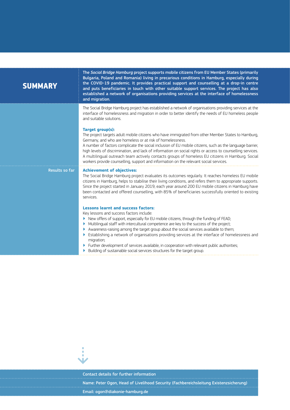| <b>SUMMARY</b>        | The Social Bridge Hamburg project supports mobile citizens from EU Member States (primarily<br>Bulgaria, Poland and Romania) living in precarious conditions in Hamburg, especially during<br>the COVID-19 pandemic. It provides practical support and counselling at a drop-in centre<br>and puts beneficiaries in touch with other suitable support services. The project has also<br>established a network of organisations providing services at the interface of homelessness<br>and migration.                                                                                                       |
|-----------------------|------------------------------------------------------------------------------------------------------------------------------------------------------------------------------------------------------------------------------------------------------------------------------------------------------------------------------------------------------------------------------------------------------------------------------------------------------------------------------------------------------------------------------------------------------------------------------------------------------------|
|                       | The Social Bridge Hamburg project has established a network of organisations providing services at the<br>interface of homelessness and migration in order to better identify the needs of EU homeless people<br>and suitable solutions.                                                                                                                                                                                                                                                                                                                                                                   |
|                       | Target group(s):<br>The project targets adult mobile citizens who have immigrated from other Member States to Hamburg,<br>Germany, and who are homeless or at risk of homelessness.<br>A number of factors complicate the social inclusion of EU mobile citizens, such as the language barrier,<br>high levels of discrimination, and lack of information on social rights or access to counselling services.<br>A multilingual outreach team actively contacts groups of homeless EU citizens in Hamburg. Social<br>workers provide counselling, support and information on the relevant social services. |
| <b>Results so far</b> | <b>Achievement of objectives:</b><br>The Social Bridge Hamburg project evaluates its outcomes regularly. It reaches homeless EU mobile<br>citizens in Hamburg, helps to stabilise their living conditions, and refers them to appropriate supports.<br>Since the project started in January 2019, each year around 200 EU mobile citizens in Hamburg have<br>been contacted and offered counselling, with 85% of beneficiaries successfully oriented to existing<br>services.                                                                                                                              |
|                       | <b>Lessons learnt and success factors:</b><br>Key lessons and success factors include:<br>New offers of support, especially for EU mobile citizens, through the funding of FEAD;<br>▶<br>Multilingual staff with intercultural competence are key to the success of the project;<br>Awareness-raising among the target group about the social services available to them;<br>Establishing a network of organisations providing services at the interface of homelessness and<br>migration;<br>Further development of services available, in cooperation with relevant public authorities;                  |

- ▶ Building of sustainable social services structures for the target group.
	-



Contact details for further information

Name: Peter Ogon, Head of Livelihood Security (Fachbereichsleitung Existenzsicherung) Email: [ogon@diakonie-hamburg.de](mailto:ogon%40diakonie-hamburg.de?subject=)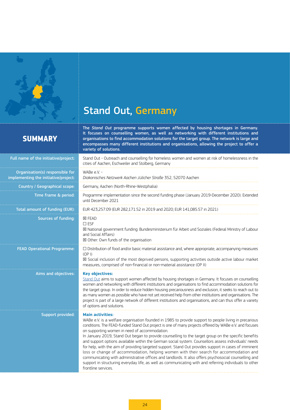<span id="page-23-0"></span>

# Stand Out, Germany

## **SUMMARY**

The *Stand Out* programme supports women affected by housing shortages in Germany. It focuses on counselling women, as well as networking with different institutions and organisations to find accommodation solutions for the target group. The network is large and encompasses many different institutions and organisations, allowing the project to offer a variety of solutions.

| Full name of the initiative/project:                                    | Stand Out - Outreach and counselling for homeless women and women at risk of homelessness in the<br>cities of Aachen, Eschweiler and Stolberg, Germany                                                                                                                                                                                                                                                                                                                                                                                                                                                                                                                                                                                                                                                                                                                                                                                                  |  |  |
|-------------------------------------------------------------------------|---------------------------------------------------------------------------------------------------------------------------------------------------------------------------------------------------------------------------------------------------------------------------------------------------------------------------------------------------------------------------------------------------------------------------------------------------------------------------------------------------------------------------------------------------------------------------------------------------------------------------------------------------------------------------------------------------------------------------------------------------------------------------------------------------------------------------------------------------------------------------------------------------------------------------------------------------------|--|--|
| Organisation(s) responsible for<br>implementing the initiative/project: | WABe e.V. -<br>Diakonisches Netzwerk Aachen Jülicher Straße 352, 52070 Aachen                                                                                                                                                                                                                                                                                                                                                                                                                                                                                                                                                                                                                                                                                                                                                                                                                                                                           |  |  |
| <b>Country / Geographical scope:</b>                                    | Germany, Aachen (North-Rhine-Westphalia)                                                                                                                                                                                                                                                                                                                                                                                                                                                                                                                                                                                                                                                                                                                                                                                                                                                                                                                |  |  |
| Time frame & period:                                                    | Programme implementation since the second funding phase (January 2019-December 2020). Extended<br>until December 2021                                                                                                                                                                                                                                                                                                                                                                                                                                                                                                                                                                                                                                                                                                                                                                                                                                   |  |  |
| Total amount of funding (EUR):                                          | EUR 423,257.09 (EUR 282,171.52 in 2019 and 2020; EUR 141,085.57 in 2021)                                                                                                                                                                                                                                                                                                                                                                                                                                                                                                                                                                                                                                                                                                                                                                                                                                                                                |  |  |
| Sources of funding:                                                     | <b>⊠ FEAD</b><br>$\square$ ESF<br>⊠ National government funding: Bundesministerium für Arbeit und Soziales (Federal Ministry of Labour<br>and Social Affairs)<br>⊠ Other: Own funds of the organisation                                                                                                                                                                                                                                                                                                                                                                                                                                                                                                                                                                                                                                                                                                                                                 |  |  |
| <b>FEAD Operational Programme:</b>                                      | $\square$ Distribution of food and/or basic material assistance and, where appropriate, accompanying measures<br>(OP I)<br>⊠ Social inclusion of the most deprived persons, supporting activities outside active labour market<br>measures, comprised of non-financial or non-material assistance (OP II)                                                                                                                                                                                                                                                                                                                                                                                                                                                                                                                                                                                                                                               |  |  |
| Aims and objectives:                                                    | <b>Key objectives:</b><br>Stand Out aims to support women affected by housing shortages in Germany. It focuses on counselling<br>women and networking with different institutions and organisations to find accommodation solutions for<br>the target group. In order to reduce hidden housing precariousness and exclusion, it seeks to reach out to<br>as many women as possible who have not yet received help from other institutions and organisations. The<br>project is part of a large network of different institutions and organisations, and can thus offer a variety<br>of options and solutions.                                                                                                                                                                                                                                                                                                                                           |  |  |
| <b>Support provided:</b>                                                | <b>Main activities:</b><br>WABe e.V. is a welfare organisation founded in 1985 to provide support to people living in precarious<br>conditions. The FEAD-funded Stand Out project is one of many projects offered by WABe e.V. and focuses<br>on supporting women in need of accommodation.<br>In January 2019, Stand Out began to provide counselling to the target group on the specific benefits<br>and support options available within the German social system. Counsellors assess individuals' needs<br>for help, with the aim of providing targeted support. Stand Out provides support in cases of imminent<br>loss or change of accommodation, helping women with their search for accommodation and<br>communicating with administrative offices and landlords. It also offers psychosocial counselling and<br>support in structuring everyday life, as well as communicating with and referring individuals to other<br>frontline services. |  |  |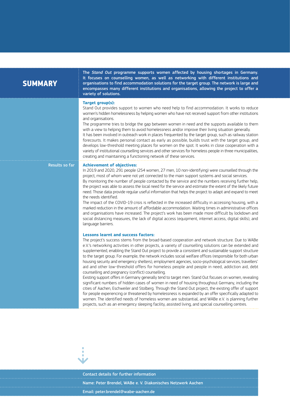| <b>SUMMARY</b> |  |  |
|----------------|--|--|
|                |  |  |

The *Stand Out* programme supports women affected by housing shortages in Germany. It focuses on counselling women, as well as networking with different institutions and organisations to find accommodation solutions for the target group. The network is large and encompasses many different institutions and organisations, allowing the project to offer a variety of solutions.

### **Target group(s):**

Stand Out provides support to women who need help to find accommodation. It works to reduce women's hidden homelessness by helping women who have not received support from other institutions and organisations.

The programme tries to bridge the gap between women in need and the supports available to them with a view to helping them to avoid homelessness and/or improve their living situation generally.

It has been involved in outreach work in places frequented by the target group, such as railway station forecourts. It makes personal contact as early as possible, builds trust with the target group, and develops low-threshold meeting places for women on the spot. It works in close cooperation with a variety of institutional counselling services and other services for homeless people in three municipalities, creating and maintaining a functioning network of these services.

### Results so far **Achievement of objectives:**

In 2019 and 2020, 291 people (254 women, 27 men, 10 non-identifying) were counselled through the project, most of whom were not yet connected to the main support systems and social services. By monitoring the number of people contacted by the service and the numbers receiving further help, the project was able to assess the local need for the service and estimate the extent of the likely future need. Those data provide regular useful information that helps the project to adapt and expand to meet the needs identified.

The impact of the COVID-19 crisis is reflected in the increased difficulty in accessing housing, with a marked reduction in the amount of affordable accommodation. Waiting times in administrative offices and organisations have increased. The project's work has been made more difficult by lockdown and social distancing measures, the lack of digital access (equipment, internet access, digital skills), and language barriers.

### **Lessons learnt and success factors:**

The project's success stems from the broad-based cooperation and network structure. Due to WABe e.V.'s networking activities in other projects, a variety of counselling solutions can be extended and supplemented, enabling the Stand Out project to provide a consistent and sustainable support structure to the target group. For example, the network includes social welfare offices (responsible for both urban housing security and emergency shelters), employment agencies, socio-psychological services, travellers' aid and other low-threshold offers for homeless people and people in need, addiction aid, debt counselling and pregnancy (conflict) counselling.

Existing support offers in Germany generally tend to target men. Stand Out focuses on women, revealing significant numbers of hidden cases of women in need of housing throughout Germany, including the cities of Aachen, Eschweiler and Stolberg. Through the Stand Out project, the existing offer of support for people experiencing or threatened by homelessness is expanded by an offer specifically adapted to women. The identified needs of homeless women are substantial, and WABe e.V. is planning further projects, such as an emergency sleeping facility, assisted living, and special counselling centres.



Contact details for further information Name: Peter Brendel, WABe e. V. Diakonisches Netzwerk Aachen Email: [peter.brendel@wabe-aachen.de](mailto:peter.brendel%40wabe-aachen.de?subject=)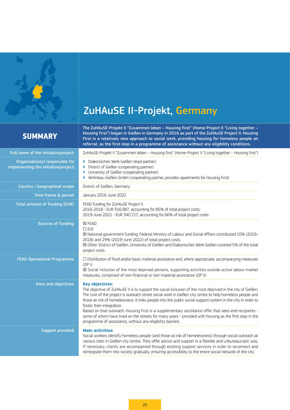<span id="page-25-0"></span>

# ZuHAuSE II-Projekt, Germany

## **SUMMARY**

The ZuHAuSE-Projekt II "Zusammen leben – Housing first" (Home-Project II "Living together – Housing first") began in Gießen in Germany in 2016 as part of the ZuHAuSE Project II. Housing First is a relatively new approach to social work, providing housing for homeless people on referral, as the first step in a programme of assistance without any eligibility conditions.

| Full name of the initiative/project:                                    | ZuHAuSE-Projekt II "Zusammen leben - Housing first" (Home-Project II "Living together - Housing first")                                                                                                                                                                                                                                                                                                                                                                                                                                                                                                                                                                       |  |  |
|-------------------------------------------------------------------------|-------------------------------------------------------------------------------------------------------------------------------------------------------------------------------------------------------------------------------------------------------------------------------------------------------------------------------------------------------------------------------------------------------------------------------------------------------------------------------------------------------------------------------------------------------------------------------------------------------------------------------------------------------------------------------|--|--|
| Organisation(s) responsible for<br>implementing the initiative/project: | Diakonisches Werk Gießen (lead partner)<br>District of Gießen (cooperating partner)<br>Þ<br>University of Gießen (cooperating partner)<br>▶<br>Wohnbau Gießen GmbH (cooperating partner, provides apartments for Housing First)                                                                                                                                                                                                                                                                                                                                                                                                                                               |  |  |
| Country / Geographical scope:                                           | District of Gießen, Germany                                                                                                                                                                                                                                                                                                                                                                                                                                                                                                                                                                                                                                                   |  |  |
| Time frame & period:                                                    | January 2016-June 2022                                                                                                                                                                                                                                                                                                                                                                                                                                                                                                                                                                                                                                                        |  |  |
| Total amount of funding (EUR):                                          | FEAD funding for ZuHAuSE Project II:<br>2016-2018 - EUR 316,387, accounting for 85% of total project costs;<br>2019-June 2022 - EUR 340,727, accounting for 66% of total project costs                                                                                                                                                                                                                                                                                                                                                                                                                                                                                        |  |  |
| Sources of funding:                                                     | <b>区 FEAD</b><br>$\square$ ESF<br>⊠ National government funding: Federal Ministry of Labour and Social Affairs contributed 10% (2016-<br>2018) and 29% (2019-June 2022) of total project costs<br>⊠ Other: District of Gießen, University of Gießen and Diakonisches Werk Gießen covered 5% of the total<br>project costs                                                                                                                                                                                                                                                                                                                                                     |  |  |
| <b>FEAD Operational Programme:</b>                                      | $\Box$ Distribution of food and/or basic material assistance and, where appropriate, accompanying measures<br>(OP I)<br>⊠ Social inclusion of the most deprived persons, supporting activities outside active labour market<br>measures, comprised of non-financial or non-material assistance (OP II)                                                                                                                                                                                                                                                                                                                                                                        |  |  |
| Aims and objectives:                                                    | <b>Key objectives:</b><br>The objective of ZuHAuSE II is to support the social inclusion of the most deprived in the city of Gießen.<br>The core of the project is outreach street social work in Gießen city centre to help homeless people and<br>those at risk of homelessness. It links people into the public social support system in the city in order to<br>foster their integration.<br>Based on that outreach, Housing First is a supplementary assistance offer that sees end-recipients -<br>some of whom have lived on the streets for many years - provided with housing as the first step in the<br>programme of assistance, without any eligibility barriers. |  |  |
| Support provided:                                                       | <b>Main activities:</b><br>Social workers identify homeless people (and those at risk of homelessness) through social outreach at<br>various sites in Gießen city centre. They offer advice and support in a flexible and unbureaucratic way.<br>If necessary, clients are accompanied through existing support services in order to reconnect and<br>reintegrate them into society gradually, ensuring accessibility to the entire social network of the city.                                                                                                                                                                                                               |  |  |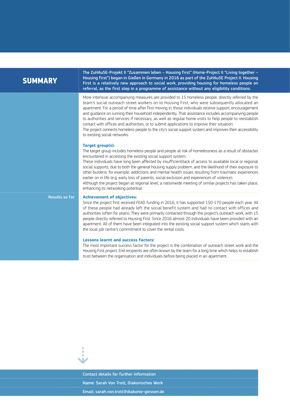| <b>SUMMARY</b> | The ZuHAuSE-Projekt II "Zusammen leben - Housing first" (Home-Project II "Living together -<br>Housing first") began in Gießen in Germany in 2016 as part of the ZuHAuSE Project II. Housing<br>First is a relatively new approach to social work, providing housing for homeless people on<br>referral, as the first step in a programme of assistance without any eligibility conditions.                                                                                                                                                                                                                                                                                                                                                                                  |  |  |
|----------------|------------------------------------------------------------------------------------------------------------------------------------------------------------------------------------------------------------------------------------------------------------------------------------------------------------------------------------------------------------------------------------------------------------------------------------------------------------------------------------------------------------------------------------------------------------------------------------------------------------------------------------------------------------------------------------------------------------------------------------------------------------------------------|--|--|
|                | More intensive accompanying measures are provided to 15 homeless people, directly referred by the<br>team's social outreach street workers on to Housing First, who were subsequently allocated an<br>apartment. For a period of time after first moving in, those individuals receive support, encouragement<br>and quidance on running their household independently. That assistance includes accompanying people<br>to authorities and services if necessary, as well as regular home visits to help people to reestablish<br>contact with offices and authorities, or to submit applications to improve their situation.<br>The project connects homeless people to the city's social support system and improves their accessibility<br>to existing social networks.   |  |  |
|                | Target group(s):<br>The target group includes homeless people and people at risk of homelessness as a result of obstacles<br>encountered in accessing the existing social support system.<br>These individuals have long been affected by insufficient/lack of access to available local or regional<br>social supports, due to both the general housing supply problem, and the likelihood of their exposure to<br>other burdens, for example, addictions and mental health issues resulting from traumatic experiences<br>earlier on in life (e.g. early loss of parents, social exclusion and experiences of violence).<br>Although the project began at regional level, a nationwide meeting of similar projects has taken place,<br>enhancing its networking potential. |  |  |
| Results so far | <b>Achievement of objectives:</b>                                                                                                                                                                                                                                                                                                                                                                                                                                                                                                                                                                                                                                                                                                                                            |  |  |

Since the project first received FEAD funding in 2016, it has supported 150-170 people each year. All of these people had already left the social benefit system and had no contact with offices and authorities (often for years). They were primarily contacted through the project's outreach work, with 15 people directly referred to Housing First. Since 2016 almost 20 individuals have been provided with an apartment. All of them have been integrated into the existing social support system which starts with the local job centre's commitment to cover the rental costs.

### **Lessons learnt and success factors:**

The most important success factor for the project is the combination of outreach street work and the Housing First project. End recipients are often known by the team for a long time which helps to establish trust between the organisation and individuals before being placed in an apartment.



Contact details for further information Name: Sarah Von Trott, Diakonisches Werk Email: [sarah.von.trott@diakonie-giessen.de](mailto:sarah.von.trott%40diakonie-giessen.de?subject=)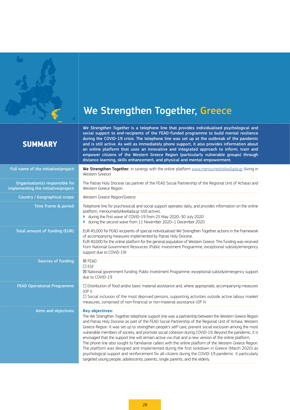<span id="page-27-0"></span>

# We Strengthen Together, Greece

*We Strengthen Together* is a telephone line that provides individualised psychological and support to end-recipients of the FFAD-funded programme to build mental resilience

## **SUMM**

Full name of the

Organisation( implementing the

| <b>SUMMARY</b>                                                      | during the COVID-19 crisis. The telephone line was set up at the outbreak of the pandemic<br>and is still active. As well as immediately phone support, it also provides information about<br>an online platform that uses an innovative and integrated approach to inform, train and<br>empower citizens of the Western Greece Region (particularly vulnerable groups) through<br>distance learning, skills enhancement, and physical and mental empowerment. |
|---------------------------------------------------------------------|----------------------------------------------------------------------------------------------------------------------------------------------------------------------------------------------------------------------------------------------------------------------------------------------------------------------------------------------------------------------------------------------------------------------------------------------------------------|
| I name of the initiative/project:                                   | We Strengthen Together, in synergy with the online platform www.menoumedytikiellada.gr (living in<br>Western Greece)                                                                                                                                                                                                                                                                                                                                           |
| Organisation(s) responsible for<br>ementing the initiative/project: | The Patras Holy Diocese (as partner of the FEAD Social Partnership of the Regional Unit of Achaia) and<br>Western Greece Region                                                                                                                                                                                                                                                                                                                                |
| Country / Geographical scope:                                       | Western Greece Region/Greece                                                                                                                                                                                                                                                                                                                                                                                                                                   |
| Time frame & period:                                                | Telephone line for psychosocial and social support operates daily, and provides information on the online<br>platform, menoumedytikiellada.gr (still active);<br>during the first wave of COVID-19 from 25 May 2020-30 July 2020<br>• during the second wave from 11 November 2020-1 December 2020                                                                                                                                                             |
| Total amount of funding (EUR):                                      | EUR 45,000 for FEAD recipients of special individualised We Strengthen Together actions in the framework<br>of accompanying measures implemented by Patras Holy Diocese.<br>EUR 40,000 for the online platform for the general population of Western Greece. This funding was received<br>from National Government Resources (Public Investment Programme, exceptional subsidy/emergency<br>support due to COVID-19)                                           |
|                                                                     |                                                                                                                                                                                                                                                                                                                                                                                                                                                                |

# Sources of funding: ☒ FEAD

☐ ESF

due to COVID-19

FEAD Operational Programme: □ □ Distribution of food and/or basic material assistance and, where appropriate, accompanying measures

(OP I) ☐ Social inclusion of the most deprived persons, supporting activities outside active labour market measures, comprised of non-financial or non-material assistance (OP II)

☒ National government funding: Public Investment Programme, exceptional subsidy/emergency support

Aims and objectives: **Key objectives:** 

The We Strengthen Together telephone support line was a partnership between the Western Greece Region and Patras Holy Diocese as part of the FEAD Social Partnership of the Regional Unit of Achaia, Western Greece Region. It was set up to strengthen people's self-care, prevent social exclusion among the most vulnerable members of society, and promote social cohesion during COVID-19. Beyond the pandemic, it is envisaged that the support line will remain active via chat and a new version of the online platform. The phone line also sought to familiarise callers with the online platform of the Western Greece Region.

The platform was designed and implemented during the first lockdown in Greece (March 2020) as psychological support and reinforcement for all citizens during the COVID-19 pandemic. It particularly targeted young people, adolescents, parents, single parents, and the elderly.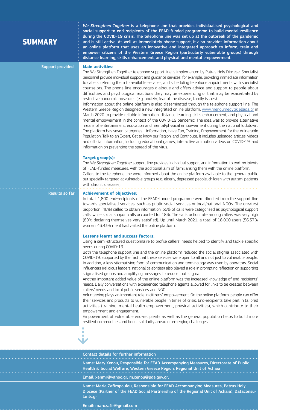| <b>SUMMARY</b>           | We Strengthen Together is a telephone line that provides individualised psychological and<br>social support to end-recipients of the FEAD-funded programme to build mental resilience<br>during the COVID-19 crisis. The telephone line was set up at the outbreak of the pandemic<br>and is still active. As well as immediately phone support, it also provides information about<br>an online platform that uses an innovative and integrated approach to inform, train and<br>empower citizens of the Western Greece Region (particularly vulnerable groups) through<br>distance learning, skills enhancement, and physical and mental empowerment.                                                                                                                                                                                                                                                                                                                                                                                                                                                                                                                                                                                                                                                                                                                                                                                                                                                                                                 |
|--------------------------|---------------------------------------------------------------------------------------------------------------------------------------------------------------------------------------------------------------------------------------------------------------------------------------------------------------------------------------------------------------------------------------------------------------------------------------------------------------------------------------------------------------------------------------------------------------------------------------------------------------------------------------------------------------------------------------------------------------------------------------------------------------------------------------------------------------------------------------------------------------------------------------------------------------------------------------------------------------------------------------------------------------------------------------------------------------------------------------------------------------------------------------------------------------------------------------------------------------------------------------------------------------------------------------------------------------------------------------------------------------------------------------------------------------------------------------------------------------------------------------------------------------------------------------------------------|
| <b>Support provided:</b> | <b>Main activities:</b><br>The We Strengthen Together telephone support line is implemented by Patras Holy Diocese. Specialist<br>personnel provide individual support and guidance services, for example, providing immediate information<br>to callers, referring them to available services, and scheduling telephone appointments with specialist<br>counselors. The phone line encourages dialogue and offers advice and support to people about<br>difficulties and psychological reactions they may be experiencing or that may be exacerbated by<br>restrictive pandemic measures (e.g. anxiety, fear of the disease, family issues).<br>Information about the online platform is also disseminated through the telephone support line. The<br>Western Greece Region designed a new integrated online platform, www.menoumedytikiellada.gr in<br>March 2020 to provide reliable information, distance learning, skills enhancement, and physical and<br>mental empowerment in the context of the COVID-19 pandemic. The idea was to provide alternative<br>means of entertainment, education and mental/physical empowerment during the national lockdown.<br>The platform has seven categories - Information, Have Fun, Training, Empowerment for the Vulnerable<br>Population, Talk to an Expert, Get to know our Region, and Contribute. It includes uploaded articles, videos<br>and official information, including educational games, interactive animation videos on COVID-19, and<br>information on preventing the spread of the virus. |
|                          | <b>Target group(s):</b><br>The We Strengthen Together support line provides individual support and information to end-recipients<br>of FEAD-funded measures, with the additional aim of familiarising them with the online platform.<br>Callers to the telephone line were informed about the online platform available to the general public<br>but specially targeted at vulnerable groups (e.g. elderly, depressed people, children with autism, patients<br>with chronic diseases).                                                                                                                                                                                                                                                                                                                                                                                                                                                                                                                                                                                                                                                                                                                                                                                                                                                                                                                                                                                                                                                                 |
| Results so far           | <b>Achievement of objectives:</b><br>In total, 1,800 end-recipients of the FEAD-funded programme were directed from the support line<br>towards specialised services, such as public social services or local/national NGOs. The greatest<br>proportion (46%) called to obtain information, 36% of calls were categorised as psychological support<br>calls, while social support calls accounted for 18%. The satisfaction rate among callers was very high<br>(80% declaring themselves very satisfied). Up until March 2021, a total of 18,000 users (56.57%<br>women, 43.43% men) had visited the online platform                                                                                                                                                                                                                                                                                                                                                                                                                                                                                                                                                                                                                                                                                                                                                                                                                                                                                                                                   |
|                          | <b>Lessons learnt and success factors:</b><br>Using a semi-structured questionnaire to profile callers' needs helped to identify and tackle specific<br>needs during COVID-19.<br>Both the telephone support line and the online platform reduced the social stigma associated with<br>COVID-19, supported by the fact that these services were open to all and not just to vulnerable people.<br>In addition, a less stigmatising form of communication and terminology was used by operators. Social<br>influencers (religious leaders, national celebrities) also played a role in prompting reflection on supporting<br>stigmatised groups and amplifying messages to reduce that stigma.<br>Another important added value of the online platform was the increased knowledge of end-recipients'<br>needs. Daily conversations with experienced telephone agents allowed for links to be created between<br>callers' needs and local public services and NGOs.<br>Volunteering plays an important role in citizens' empowerment. On the online platform, people can offer<br>their services and products to vulnerable people in times of crisis. End-recipients take part in tailored<br>activities (training, mental health empowerment, physical activities), which contribute to their<br>empowerment and engagement.<br>Empowerment of vulnerable end-recipients as well as the general population helps to build more<br>resilient communities and boost solidarity ahead of emerging challenges.                                             |
|                          | ×<br>×<br>٠                                                                                                                                                                                                                                                                                                                                                                                                                                                                                                                                                                                                                                                                                                                                                                                                                                                                                                                                                                                                                                                                                                                                                                                                                                                                                                                                                                                                                                                                                                                                             |

Contact details for further information

Name: Mary Xenou, Responsible for FEAD Accompanying Measures, Directorate of Public Health & Social Welfare, Western Greece Region, Regional Unit of Achaia

Email: [xenmr@yahoo.gr](mailto:xenmr%40yahoo.gr?subject=); [m.xenou@pde.gov.gr;](mailto:m.xenou%40pde.gov.gr?subject=)

Name: Maria Zafiropoulou, Responsible for FEAD Accompanying Measures, Patras Holy Diocese (Partner of the FEAD Social Partnership of the Regional Unit of Achaia), Dataconsulants.gr

Email: [marozafir@gmail.com](mailto:marozafir%40gmail.com?subject=)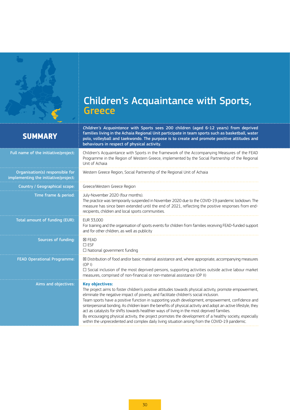<span id="page-29-0"></span>

# Children's Acquaintance with Sports, **Greece**

| <b>SUMMARY</b>                                                          | Children's Acquaintance with Sports sees 200 children (aged 6-12 years) from deprived<br>families living in the Achaia Regional Unit participate in team sports such as basketball, water<br>polo, volleyball and taekwondo. The purpose is to create and promote positive attitudes and<br>behaviours in respect of physical activity.                                                                                                                                                                                                                                                                                                                                                                                                                          |
|-------------------------------------------------------------------------|------------------------------------------------------------------------------------------------------------------------------------------------------------------------------------------------------------------------------------------------------------------------------------------------------------------------------------------------------------------------------------------------------------------------------------------------------------------------------------------------------------------------------------------------------------------------------------------------------------------------------------------------------------------------------------------------------------------------------------------------------------------|
| Full name of the initiative/project:                                    | Children's Acquaintance with Sports in the framework of the Accompanying Measures of the FEAD<br>Programme in the Region of Western Greece, implemented by the Social Partnership of the Regional<br>Unit of Achaia                                                                                                                                                                                                                                                                                                                                                                                                                                                                                                                                              |
| Organisation(s) responsible for<br>implementing the initiative/project: | Western Greece Region, Social Partnership of the Regional Unit of Achaia                                                                                                                                                                                                                                                                                                                                                                                                                                                                                                                                                                                                                                                                                         |
| Country / Geographical scope:                                           | Greece/Western Greece Region                                                                                                                                                                                                                                                                                                                                                                                                                                                                                                                                                                                                                                                                                                                                     |
| Time frame & period:                                                    | July-November 2020 (four months).<br>The practice was temporarily suspended in November 2020 due to the COVID-19 pandemic lockdown. The<br>measure has since been extended until the end of 2021, reflecting the positive responses from end-<br>recipients, children and local sports communities.                                                                                                                                                                                                                                                                                                                                                                                                                                                              |
| Total amount of funding (EUR):                                          | EUR 33,000<br>For training and the organisation of sports events for children from families receiving FEAD-funded support<br>and for other children, as well as publicity                                                                                                                                                                                                                                                                                                                                                                                                                                                                                                                                                                                        |
| Sources of funding:                                                     | <b>X FEAD</b><br>$\square$ ESF<br>$\Box$ National government funding                                                                                                                                                                                                                                                                                                                                                                                                                                                                                                                                                                                                                                                                                             |
| <b>FEAD Operational Programme:</b>                                      | ⊠ Distribution of food and/or basic material assistance and, where appropriate, accompanying measures<br>(OP I)<br>$\square$ Social inclusion of the most deprived persons, supporting activities outside active labour market<br>measures, comprised of non-financial or non-material assistance (OP II)                                                                                                                                                                                                                                                                                                                                                                                                                                                        |
| Aims and objectives:                                                    | <b>Key objectives:</b><br>The project aims to foster children's positive attitudes towards physical activity, promote empowerment,<br>eliminate the negative impact of poverty, and facilitate children's social inclusion.<br>Team sports have a positive function in supporting youth development, empowerment, confidence and<br>sinterpersonal bonding. As children learn the benefits of physical activity and adopt an active lifestyle, they<br>act as catalysts for shifts towards healthier ways of living in the most deprived families.<br>By encouraging physical activity, the project promotes the development of a healthy society, especially<br>within the unprecedented and complex daily living situation arising from the COVID-19 pandemic. |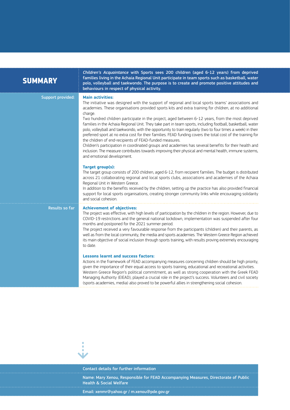| <b>SUMMARY</b>           | Children's Acquaintance with Sports sees 200 children (aged 6-12 years) from deprived<br>families living in the Achaia Regional Unit participate in team sports such as basketball, water<br>polo, volleyball and taekwondo. The purpose is to create and promote positive attitudes and<br>behaviours in respect of physical activity.                                                                                                                                                                                                                                                                                                                                                                                                                                                                                                                                                                                                                                                                                                                                                                                                                                                                                                                                                                                                                                                                                                                                                                                                      |
|--------------------------|----------------------------------------------------------------------------------------------------------------------------------------------------------------------------------------------------------------------------------------------------------------------------------------------------------------------------------------------------------------------------------------------------------------------------------------------------------------------------------------------------------------------------------------------------------------------------------------------------------------------------------------------------------------------------------------------------------------------------------------------------------------------------------------------------------------------------------------------------------------------------------------------------------------------------------------------------------------------------------------------------------------------------------------------------------------------------------------------------------------------------------------------------------------------------------------------------------------------------------------------------------------------------------------------------------------------------------------------------------------------------------------------------------------------------------------------------------------------------------------------------------------------------------------------|
| <b>Support provided:</b> | <b>Main activities:</b><br>The initiative was designed with the support of regional and local sports teams' associations and<br>academies. These organisations provided sports kits and extra training for children, at no additional<br>charge.<br>Two hundred children participate in the project, aged between 6-12 years, from the most deprived<br>families in the Achaia Regional Unit. They take part in team sports, including football, basketball, water<br>polo, volleyball and taekwondo, with the opportunity to train regularly (two to four times a week) in their<br>preferred sport at no extra cost for their families. FEAD funding covers the total cost of the training for<br>the children of end-recipients of FEAD-funded measures.<br>Children's participation in coordinated groups and academies has several benefits for their health and<br>inclusion. The measure contributes towards improving their physical and mental health, immune systems,<br>and emotional development.<br><b>Target group(s):</b><br>The target group consists of 200 children, aged 6-12, from recipient families. The budget is distributed<br>across 21 collaborating regional and local sports clubs, associations and academies of the Achaia<br>Regional Unit in Western Greece.<br>In addition to the benefits received by the children, setting up the practice has also provided financial<br>support for local sports organisations, creating stronger community links while encouraging solidarity<br>and social cohesion. |
| Results so far           | <b>Achievement of objectives:</b><br>The project was effective, with high levels of participation by the children in the region. However, due to<br>COVID-19 restrictions and the general national lockdown, implementation was suspended after four<br>months and postponed for the 2021 summer period.<br>The project received a very favourable response from the participants (children) and their parents, as<br>well as from the local community, the media and sports academies. The Western Greece Region achieved<br>its main objective of social inclusion through sports training, with results proving extremely encouraging<br>to date.<br><b>Lessons learnt and success factors:</b><br>Actions in the framework of FEAD accompanying measures concerning children should be high priority,<br>given the importance of their equal access to sports training, educational and recreational activities.<br>Western Greece Region's political commitment, as well as strong cooperation with the Greek FEAD<br>Managing Authority (EIEAD), played a crucial role in the project's success. Volunteers and civil society<br>(sports academies, media) also proved to be powerful allies in strengthening social cohesion.                                                                                                                                                                                                                                                                                                         |



## Contact details for further information

Name: Mary Xenou, Responsible for FEAD Accompanying Measures, Directorate of Public Health & Social Welfare

Email: [xenmr@yahoo.gr](mailto:xenmr%40yahoo.gr?subject=) / [m.xenou@pde.gov.gr](mailto:m.xenou%40pde.gov.gr?subject=)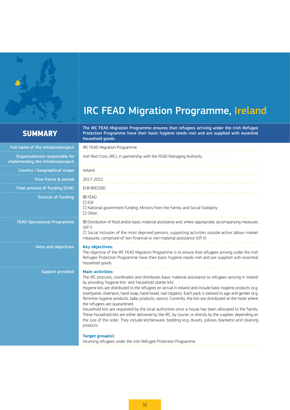<span id="page-31-0"></span>

# IRC FEAD Migration Programme, Ireland

## **SUMMARY**

The IRC FEAD Migration Programme ensures that refugees arriving under the Irish Refugee Protection Programme have their basic hygiene needs met and are supplied with essential household goods.

| IRC FEAD Migration Programme                                                                                                                                                                                                                                                                                                                                                                                                                                                                                                                                                                                                                                                                                                                                                                                                                                                                                                                |  |
|---------------------------------------------------------------------------------------------------------------------------------------------------------------------------------------------------------------------------------------------------------------------------------------------------------------------------------------------------------------------------------------------------------------------------------------------------------------------------------------------------------------------------------------------------------------------------------------------------------------------------------------------------------------------------------------------------------------------------------------------------------------------------------------------------------------------------------------------------------------------------------------------------------------------------------------------|--|
| Irish Red Cross (IRC), in partnership with the FEAD Managing Authority                                                                                                                                                                                                                                                                                                                                                                                                                                                                                                                                                                                                                                                                                                                                                                                                                                                                      |  |
| Ireland                                                                                                                                                                                                                                                                                                                                                                                                                                                                                                                                                                                                                                                                                                                                                                                                                                                                                                                                     |  |
| 2017-2022                                                                                                                                                                                                                                                                                                                                                                                                                                                                                                                                                                                                                                                                                                                                                                                                                                                                                                                                   |  |
| EUR 800,000                                                                                                                                                                                                                                                                                                                                                                                                                                                                                                                                                                                                                                                                                                                                                                                                                                                                                                                                 |  |
| <b>X FEAD</b><br>$\square$ ESF<br>$\Box$ National government funding: Ministry from the Family and Social Solidarity<br>$\Box$ Other                                                                                                                                                                                                                                                                                                                                                                                                                                                                                                                                                                                                                                                                                                                                                                                                        |  |
| ⊠ Distribution of food and/or basic material assistance and, where appropriate, accompanying measures<br>(OP I)<br>$\square$ Social inclusion of the most deprived persons, supporting activities outside active labour market<br>measures, comprised of non-financial or non-material assistance (OP II)                                                                                                                                                                                                                                                                                                                                                                                                                                                                                                                                                                                                                                   |  |
| <b>Key objectives:</b><br>The objective of the IRC FEAD Migration Programme is to ensure that refugees arriving under the Irish<br>Refugee Protection Programme have their basic hygiene needs met and are supplied with essential<br>household goods.                                                                                                                                                                                                                                                                                                                                                                                                                                                                                                                                                                                                                                                                                      |  |
| <b>Main activities:</b><br>The IRC procures, coordinates and distributes basic material assistance to refugees arriving in Ireland<br>by providing 'hygiene kits' and 'household starter kits'.<br>Hygiene kits are distributed to the refugees on arrival in Ireland and include basic hygiene products (e.g.<br>toothpaste, shampoo, hand soap, hand towel, nail clippers). Each pack is tailored to age and gender (e.g.<br>feminine hygiene products, baby products, razors). Currently, the kits are distributed at the hotel where<br>the refugees are quarantined.<br>Household kits are requested by the local authorities once a house has been allocated to the family.<br>These household kits are either delivered by the IRC, by courier, or directly by the supplier, depending on<br>the size of the order. They include kitchenware, bedding (e.g. duvets, pillows, blankets) and cleaning<br>products.<br>Target group(s): |  |
|                                                                                                                                                                                                                                                                                                                                                                                                                                                                                                                                                                                                                                                                                                                                                                                                                                                                                                                                             |  |

Incoming refugees under the Irish Refugee Protection Programme.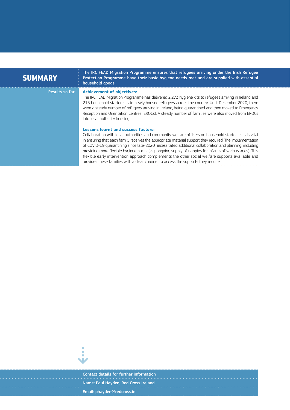| <b>SUMMARY</b>        | The IRC FEAD Migration Programme ensures that refugees arriving under the Irish Refugee<br>Protection Programme have their basic hygiene needs met and are supplied with essential<br>household goods.                                                                                                                                                                                                                                                                                                                                                                                                                                                                           |
|-----------------------|----------------------------------------------------------------------------------------------------------------------------------------------------------------------------------------------------------------------------------------------------------------------------------------------------------------------------------------------------------------------------------------------------------------------------------------------------------------------------------------------------------------------------------------------------------------------------------------------------------------------------------------------------------------------------------|
| <b>Results so far</b> | <b>Achievement of objectives:</b><br>The IRC FEAD Migration Programme has delivered 2,273 hygiene kits to refugees arriving in Ireland and<br>215 household starter kits to newly housed refugees across the country. Until December 2020, there<br>were a steady number of refugees arriving in Ireland, being guarantined and then moved to Emergency<br>Reception and Orientation Centres (EROCs). A steady number of families were also moved from EROCs<br>into local authority housing.                                                                                                                                                                                    |
|                       | <b>Lessons learnt and success factors:</b><br>Collaboration with local authorities and community welfare officers on household starters kits is vital<br>in ensuring that each family receives the appropriate material support they required. The implementation<br>of COVID-19 quarantining since late-2020 necessitated additional collaboration and planning, including<br>providing more flexible hygiene packs (e.g. ongoing supply of nappies for infants of various ages). This<br>flexible early intervention approach complements the other social welfare supports available and<br>provides these families with a clear channel to access the supports they require. |



Contact details for further information Name: Paul Hayden, Red Cross Ireland Email: [phayden@redcross.ie](mailto:phayden%40redcross.ie?subject=)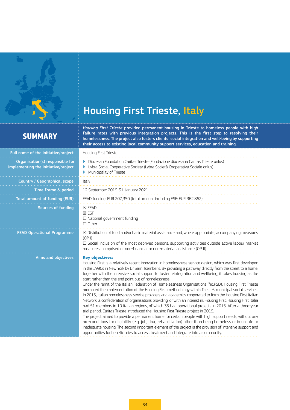<span id="page-33-0"></span>

# Housing First Trieste, Italy

## **SUMMARY**

*Housing First Trieste* provided permanent housing in Trieste to homeless people with high failure rates with previous integration projects. This is the first step to resolving their homelessness. The project also fosters clients' social integration and well-being by supporting their access to existing local community support services, education and training.

| Full name of the initiative/project:                                    | Housing First Trieste                                                                                                                                                                                                                                                                                                                                                                                                                                                                                                                                                                                                                                                                                                                                                                                                                                                                                                                                                                                                                                                                                                                                                                                                                                                                                                                                                                                                                                                                                    |
|-------------------------------------------------------------------------|----------------------------------------------------------------------------------------------------------------------------------------------------------------------------------------------------------------------------------------------------------------------------------------------------------------------------------------------------------------------------------------------------------------------------------------------------------------------------------------------------------------------------------------------------------------------------------------------------------------------------------------------------------------------------------------------------------------------------------------------------------------------------------------------------------------------------------------------------------------------------------------------------------------------------------------------------------------------------------------------------------------------------------------------------------------------------------------------------------------------------------------------------------------------------------------------------------------------------------------------------------------------------------------------------------------------------------------------------------------------------------------------------------------------------------------------------------------------------------------------------------|
| Organisation(s) responsible for<br>implementing the initiative/project: | Diocesan Foundation Caritas Trieste (Fondazione diocesana Caritas Trieste onlus)<br>Þ.<br>Lybra Social Cooperative Society (Lybra Società Cooperativa Sociale onlus)<br>▶<br>Municipality of Trieste<br>Þ.                                                                                                                                                                                                                                                                                                                                                                                                                                                                                                                                                                                                                                                                                                                                                                                                                                                                                                                                                                                                                                                                                                                                                                                                                                                                                               |
| Country / Geographical scope:                                           | Italy                                                                                                                                                                                                                                                                                                                                                                                                                                                                                                                                                                                                                                                                                                                                                                                                                                                                                                                                                                                                                                                                                                                                                                                                                                                                                                                                                                                                                                                                                                    |
| Time frame & period:                                                    | 12 September 2019-31 January 2021                                                                                                                                                                                                                                                                                                                                                                                                                                                                                                                                                                                                                                                                                                                                                                                                                                                                                                                                                                                                                                                                                                                                                                                                                                                                                                                                                                                                                                                                        |
| Total amount of funding (EUR):                                          | FEAD funding: EUR 207,350 (total amount including ESF: EUR 362,862)                                                                                                                                                                                                                                                                                                                                                                                                                                                                                                                                                                                                                                                                                                                                                                                                                                                                                                                                                                                                                                                                                                                                                                                                                                                                                                                                                                                                                                      |
| Sources of funding:                                                     | <b>X FEAD</b><br><b>⊠ ESF</b><br>$\Box$ National government funding<br>$\Box$ Other                                                                                                                                                                                                                                                                                                                                                                                                                                                                                                                                                                                                                                                                                                                                                                                                                                                                                                                                                                                                                                                                                                                                                                                                                                                                                                                                                                                                                      |
| <b>FEAD Operational Programme:</b>                                      | ⊠ Distribution of food and/or basic material assistance and, where appropriate, accompanying measures<br>(OP I)<br>$\Box$ Social inclusion of the most deprived persons, supporting activities outside active labour market<br>measures, comprised of non-financial or non-material assistance (OP II)                                                                                                                                                                                                                                                                                                                                                                                                                                                                                                                                                                                                                                                                                                                                                                                                                                                                                                                                                                                                                                                                                                                                                                                                   |
| Aims and objectives:                                                    | <b>Key objectives:</b><br>Housing First is a relatively recent innovation in homelessness service design, which was first developed<br>in the 1990s in New York by Dr Sam Tsemberis. By providing a pathway directly from the street to a home,<br>together with the intensive social support to foster reintegration and wellbeing, it takes housing as the<br>start rather than the end point out of homelessness.<br>Under the remit of the Italian Federation of Homelessness Organisations (fio.PSD), Housing First Trieste<br>promoted the implementation of the Housing First methodology within Trieste's municipal social services.<br>In 2015, Italian homelessness service providers and academics cooperated to form the Housing First Italian<br>Network, a confederation of organisations providing, or with an interest in, Housing First. Housing First Italia<br>had 51 members in 10 Italian regions, of which 35 had operational projects in 2015. After a three-year<br>trial period, Caritas Trieste introduced the Housing First Trieste project in 2019.<br>The project aimed to provide a permanent home for certain people with high support needs, without any<br>pre-conditions for eligibility (e.g. job, drug rehabilitation) other than being homeless or in unsafe or<br>inadequate housing. The second important element of the project is the provision of intensive support and<br>opportunities for beneficiaries to access treatment and integrate into a community. |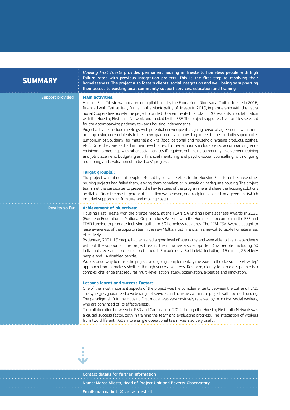| <b>SUMMARY</b> |  |  |
|----------------|--|--|
|                |  |  |
|                |  |  |

*Housing First Trieste* provided permanent housing in Trieste to homeless people with high failure rates with previous integration projects. This is the first step to resolving their homelessness. The project also fosters clients' social integration and well-being by supporting their access to existing local community support services, education and training.

Support provided: **Main activities:**

Housing First Trieste was created on a pilot basis by the Fondazione Diocesana Caritas Trieste in 2016, financed with Caritas Italy funds. In the Municipality of Trieste in 2019, in partnership with the Lybra Social Cooperative Society, the project provided 10 apartments to a total of 30 residents, in collaboration with the Housing First Italia Network and funded by the ESF. The project supported five families selected for the accompanying pathway towards housing independence.

Project activities include meetings with potential end-recipients, signing personal agreements with them, accompanying end-recipients to their new apartments and providing access to the solidarity supermarket (Emporium of Solidarity) for material aid kits (food, personal and household hygiene products, clothes, etc.). Once they are settled in their new homes, further supports include visits, accompanying endrecipients to meetings with other social services if required, enhancing community involvement, training and job placement, budgeting and financial mentoring and psycho-social counselling, with ongoing monitoring and evaluation of individuals' progress.

## **Target group(s):**

The project was aimed at people referred by social services to the Housing First team because other housing projects had failed them, leaving them homeless or in unsafe or inadequate housing. The project team met the candidates to present the key features of the programme and share the housing solutions available. Once the most appropriate solution was chosen, end-recipients signed an agreement (which included support with furniture and moving costs).

### Results so far **Achievement of objectives:**

Housing First Trieste won the bronze medal at the FEANTSA Ending Homelessness Awards in 2021 (European Federation of National Organisations Working with the Homeless) for combining the ESF and FEAD funding to promote inclusion paths for 30 homeless residents. The FEANTSA Awards sought to raise awareness of the opportunities in the new Multiannual Financial Framework to tackle homelessness effectively.

By January 2021, 16 people had achieved a good level of autonomy and were able to live independently without the support of the project team. The initiative also supported 362 people (including 30 individuals receiving housing support) through Emporio della Solidarietà, including 116 minors, 26 elderly people and 14 disabled people.

Work is underway to make the project an ongoing complementary measure to the classic 'step-by-step' approach from homeless shelters through successive steps. Restoring dignity to homeless people is a complex challenge that requires multi-level action, study, observation, expertise and innovation.

### **Lessons learnt and success factors:**

One of the most important aspects of the project was the complementarity between the ESF and FEAD. The synergies guaranteed a wide range of services and activities within the project, with focused funding. The paradigm shift in the Housing First model was very positively received by municipal social workers, who are convinced of its effectiveness.

The collaboration between fio.PSD and Caritas since 2014 through the Housing First Italia Network was a crucial success factor, both in training the team and evaluating progress. The integration of workers from two different NGOs into a single operational team was also very useful.



Contact details for further information Name: Marco Aliotta, Head of Project Unit and Poverty Observatory Email: [marcoaliotta@caritastrieste.it](mailto:marcoaliotta%40caritastrieste.it?subject=)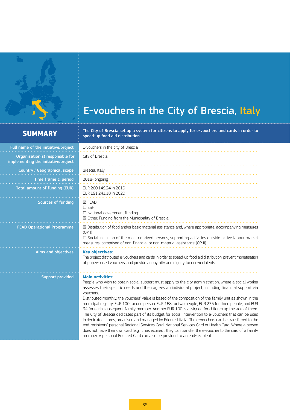<span id="page-35-0"></span>

# E-vouchers in the City of Brescia, Italy

 $\mathsf{SUMMARY} \begin{array}{r} \begin{array}{c} \vdots \end{array}$  The City of Brescia set up a system for citizens to apply for e-vouchers and cards in order to  $\vdots$  speed-up food aid distribution.

| Full name of the initiative/project:                                    | E-vouchers in the city of Brescia                                                                                                                                                                                                                                                                                                                                                                                                                                                                                                                                                                                                                                                                                                                                                                                                                                                                                                                                                                                                                                                                           |  |
|-------------------------------------------------------------------------|-------------------------------------------------------------------------------------------------------------------------------------------------------------------------------------------------------------------------------------------------------------------------------------------------------------------------------------------------------------------------------------------------------------------------------------------------------------------------------------------------------------------------------------------------------------------------------------------------------------------------------------------------------------------------------------------------------------------------------------------------------------------------------------------------------------------------------------------------------------------------------------------------------------------------------------------------------------------------------------------------------------------------------------------------------------------------------------------------------------|--|
| Organisation(s) responsible for<br>implementing the initiative/project: | City of Brescia                                                                                                                                                                                                                                                                                                                                                                                                                                                                                                                                                                                                                                                                                                                                                                                                                                                                                                                                                                                                                                                                                             |  |
| Country / Geographical scope:                                           | Brescia, Italy                                                                                                                                                                                                                                                                                                                                                                                                                                                                                                                                                                                                                                                                                                                                                                                                                                                                                                                                                                                                                                                                                              |  |
| Time frame & period:                                                    | 2018-ongoing                                                                                                                                                                                                                                                                                                                                                                                                                                                                                                                                                                                                                                                                                                                                                                                                                                                                                                                                                                                                                                                                                                |  |
| Total amount of funding (EUR):                                          | EUR 200,149.24 in 2019<br>EUR 191,241.18 in 2020                                                                                                                                                                                                                                                                                                                                                                                                                                                                                                                                                                                                                                                                                                                                                                                                                                                                                                                                                                                                                                                            |  |
| Sources of funding:                                                     | <b>区 FEAD</b><br>$\square$ ESF<br>$\Box$ National government funding<br>$\boxtimes$ Other: Funding from the Municipality of Brescia                                                                                                                                                                                                                                                                                                                                                                                                                                                                                                                                                                                                                                                                                                                                                                                                                                                                                                                                                                         |  |
| <b>FEAD Operational Programme:</b>                                      | $\boxtimes$ Distribution of food and/or basic material assistance and, where appropriate, accompanying measures<br>(OP I)<br>$\square$ Social inclusion of the most deprived persons, supporting activities outside active labour market<br>measures, comprised of non-financial or non-material assistance (OP II)                                                                                                                                                                                                                                                                                                                                                                                                                                                                                                                                                                                                                                                                                                                                                                                         |  |
| Aims and objectives:                                                    | <b>Key objectives:</b><br>The project distributed e-vouchers and cards in order to speed-up food aid distribution, prevent monetisation<br>of paper-based vouchers, and provide anonymity and dignity for end-recipients.                                                                                                                                                                                                                                                                                                                                                                                                                                                                                                                                                                                                                                                                                                                                                                                                                                                                                   |  |
| <b>Support provided:</b>                                                | <b>Main activities:</b><br>People who wish to obtain social support must apply to the city administration, where a social worker<br>assesses their specific needs and then agrees an individual project, including financial support via<br>vouchers.<br>Distributed monthly, the vouchers' value is based of the composition of the family unit as shown in the<br>municipal registry: EUR 100 for one person, EUR 168 for two people, EUR 235 for three people, and EUR<br>34 for each subsequent family member. Another EUR 100 is assigned for children up the age of three.<br>The City of Brescia dedicates part of its budget for social intervention to e-vouchers that can be used<br>in dedicated stores, organised and managed by Edenred Italia. The e-vouchers can be transferred to the<br>end-recipients' personal Regional Services Card, National Services Card or Health Card. Where a person<br>does not have their own card (e.g. it has expired), they can transfer the e-voucher to the card of a family<br>member. A personal Edenred Card can also be provided to an end-recipient. |  |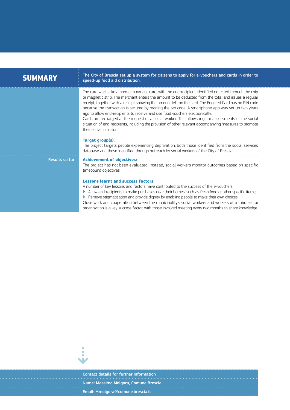| <b>SUMMARY</b> | The City of Brescia set up a system for citizens to apply for e-vouchers and cards in order to<br>speed-up food aid distribution.                                                                                                                                                                                                                                                                                                                                                                                                                                                                                                                                                                                                                                                                                                                                                                                                                                                  |  |  |
|----------------|------------------------------------------------------------------------------------------------------------------------------------------------------------------------------------------------------------------------------------------------------------------------------------------------------------------------------------------------------------------------------------------------------------------------------------------------------------------------------------------------------------------------------------------------------------------------------------------------------------------------------------------------------------------------------------------------------------------------------------------------------------------------------------------------------------------------------------------------------------------------------------------------------------------------------------------------------------------------------------|--|--|
|                | The card works like a normal payment card, with the end-recipient identified detected through the chip<br>or magnetic strip. The merchant enters the amount to be deducted from the total and issues a regular<br>receipt, together with a receipt showing the amount left on the card. The Edenred Card has no PIN code<br>because the transaction is secured by reading the tax code. A smartphone app was set up two years<br>ago to allow end-recipients to receive and use food vouchers electronically.<br>Cards are recharged at the request of a social worker. This allows regular assessments of the social<br>situation of end-recipients, including the provision of other relevant accompanying measures to promote<br>their social inclusion.<br>Target group(s):<br>The project targets people experiencing deprivation, both those identified from the social services<br>database and those identified through outreach by social workers of the City of Brescia. |  |  |
| Results so far | <b>Achievement of objectives:</b><br>The project has not been evaluated. Instead, social workers monitor outcomes based on specific<br>timebound objectives.<br><b>Lessons learnt and success factors:</b><br>A number of key lessons and factors have contributed to the success of the e-vouchers:<br>Allow end-recipients to make purchases near their homes, such as fresh food or other specific items;<br>Remove stigmatisation and provide dignity by enabling people to make their own choices.<br>Close work and cooperation between the municipality's social workers and workers of a third sector<br>organisation is a key success factor, with those involved meeting every two months to share knowledge.                                                                                                                                                                                                                                                            |  |  |



Contact details for further information Name: Massimo Molgora, Comune Brescia Email: [Mmolgora@comune.brescia.it](mailto:Mmolgora%40comune.brescia.it?subject=)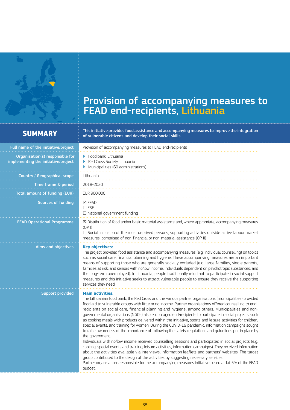<span id="page-37-0"></span>

## Provision of accompanying measures to FEAD end-recipients, Lithuania

**SUMMARY** This initiative provides food assistance and accompanying measures to improve the integration<br> **SUMMARY** extending the integration of vulnerable citizens and develop their social skills. of vulnerable citizens and develop their social skills.

| Full name of the initiative/project:                                    | Provision of accompanying measures to FEAD end-recipients                                                                                                                                                                                                                                                                                                                                                                                                                                                                                                                                                                                                                                                                                                                                                                                                                                                                                                                                                                                                                                                                                                                                                                                                                                                                                                         |
|-------------------------------------------------------------------------|-------------------------------------------------------------------------------------------------------------------------------------------------------------------------------------------------------------------------------------------------------------------------------------------------------------------------------------------------------------------------------------------------------------------------------------------------------------------------------------------------------------------------------------------------------------------------------------------------------------------------------------------------------------------------------------------------------------------------------------------------------------------------------------------------------------------------------------------------------------------------------------------------------------------------------------------------------------------------------------------------------------------------------------------------------------------------------------------------------------------------------------------------------------------------------------------------------------------------------------------------------------------------------------------------------------------------------------------------------------------|
| Organisation(s) responsible for<br>implementing the initiative/project: | $\blacktriangleright$ Food bank, Lithuania<br>Red Cross Society, Lithuania<br>Þ.<br>Municipalities (60 administrations)                                                                                                                                                                                                                                                                                                                                                                                                                                                                                                                                                                                                                                                                                                                                                                                                                                                                                                                                                                                                                                                                                                                                                                                                                                           |
| Country / Geographical scope:                                           | Lithuania                                                                                                                                                                                                                                                                                                                                                                                                                                                                                                                                                                                                                                                                                                                                                                                                                                                                                                                                                                                                                                                                                                                                                                                                                                                                                                                                                         |
| Time frame & period:                                                    | 2018-2020                                                                                                                                                                                                                                                                                                                                                                                                                                                                                                                                                                                                                                                                                                                                                                                                                                                                                                                                                                                                                                                                                                                                                                                                                                                                                                                                                         |
| Total amount of funding (EUR):                                          | EUR 900,000                                                                                                                                                                                                                                                                                                                                                                                                                                                                                                                                                                                                                                                                                                                                                                                                                                                                                                                                                                                                                                                                                                                                                                                                                                                                                                                                                       |
| Sources of funding:                                                     | <b>区 FEAD</b><br>$\square$ ESF<br>$\Box$ National government funding                                                                                                                                                                                                                                                                                                                                                                                                                                                                                                                                                                                                                                                                                                                                                                                                                                                                                                                                                                                                                                                                                                                                                                                                                                                                                              |
| <b>FEAD Operational Programme:</b>                                      | ⊠ Distribution of food and/or basic material assistance and, where appropriate, accompanying measures<br>(OP I)<br>$\square$ Social inclusion of the most deprived persons, supporting activities outside active labour market<br>measures, comprised of non-financial or non-material assistance (OP II)                                                                                                                                                                                                                                                                                                                                                                                                                                                                                                                                                                                                                                                                                                                                                                                                                                                                                                                                                                                                                                                         |
| Aims and objectives:                                                    | <b>Key objectives:</b><br>The project provided food assistance and accompanying measures (e.g. individual counselling) on topics<br>such as social care, financial planning and hygiene. These accompanying measures are an important<br>means of supporting those who are generally socially excluded (e.g. large families, single parents,<br>families at risk, and seniors with no/low income, individuals dependent on psychotropic substances, and<br>the long-term unemployed). In Lithuania, people traditionally reluctant to participate in social support<br>measures and this initiative seeks to attract vulnerable people to ensure they receive the supporting<br>services they need.                                                                                                                                                                                                                                                                                                                                                                                                                                                                                                                                                                                                                                                               |
| Support provided:                                                       | <b>Main activities:</b><br>The Lithuanian food bank, the Red Cross and the various partner organisations (municipalities) provided<br>food aid to vulnerable groups with little or no income. Partner organisations offered counselling to end-<br>recipients on social care, financial planning and hygiene, among others. Municipalities and non-<br>governmental organisations (NGOs) also encouraged end-recipients to participate in social projects, such<br>as cooking meals with products delivered within the initiative, sports and leisure activities for children,<br>special events, and training for women. During the COVID-19 pandemic, information campaigns sought<br>to raise awareness of the importance of following the safety regulations and guidelines put in place by<br>the government.<br>Individuals with no/low income received counselling sessions and participated in social projects (e.g.<br>cooking, special events and training, leisure activities, information campaigns). They received information<br>about the activities available via interviews, information leaflets and partners' websites. The target<br>group contributed to the design of the activities by suggesting necessary services.<br>Partner organisations responsible for the accompanying measures initiatives used a flat 5% of the FEAD<br>budget. |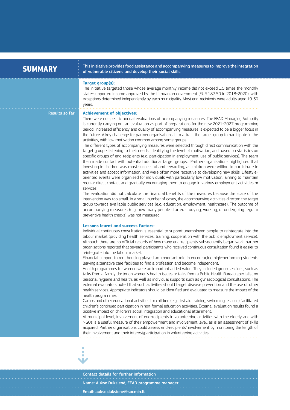| <b>SUMMARY</b>        | This initiative provides food assistance and accompanying measures to improve the integration<br>of vulnerable citizens and develop their social skills.                                                                                                                                                                                                                                                                                                                                                                                                                                                                                                                                                                                                                                                                                                                                                                                                                                                                                                                                                                                                                                                                                                                                                                                                                                                                                                                                                                                                                                                                                                                                                                                                                                                                                                                                                                                                                                                                        |
|-----------------------|---------------------------------------------------------------------------------------------------------------------------------------------------------------------------------------------------------------------------------------------------------------------------------------------------------------------------------------------------------------------------------------------------------------------------------------------------------------------------------------------------------------------------------------------------------------------------------------------------------------------------------------------------------------------------------------------------------------------------------------------------------------------------------------------------------------------------------------------------------------------------------------------------------------------------------------------------------------------------------------------------------------------------------------------------------------------------------------------------------------------------------------------------------------------------------------------------------------------------------------------------------------------------------------------------------------------------------------------------------------------------------------------------------------------------------------------------------------------------------------------------------------------------------------------------------------------------------------------------------------------------------------------------------------------------------------------------------------------------------------------------------------------------------------------------------------------------------------------------------------------------------------------------------------------------------------------------------------------------------------------------------------------------------|
|                       | Target group(s):<br>The initiative targeted those whose average monthly income did not exceed 1.5 times the monthly<br>state-supported income approved by the Lithuanian government (EUR 187.50 in 2018-2020), with<br>exceptions determined independently by each municipality. Most end-recipients were adults aged 19-30<br>years.                                                                                                                                                                                                                                                                                                                                                                                                                                                                                                                                                                                                                                                                                                                                                                                                                                                                                                                                                                                                                                                                                                                                                                                                                                                                                                                                                                                                                                                                                                                                                                                                                                                                                           |
| <b>Results so far</b> | <b>Achievement of objectives:</b><br>There were no specific annual evaluations of accompanying measures. The FEAD Managing Authority<br>is currently carrying out an evaluation as part of preparations for the new 2021-2027 programming<br>period. Increased efficiency and quality of accompanying measures is expected to be a bigger focus in<br>the future. A key challenge for partner organisations is to attract the target group to participate in the<br>activities, with low motivation common among some groups.<br>The different types of accompanying measures were selected through direct communication with the<br>target group - listening to their needs, identifying the level of motivation, and based on statistics on<br>specific groups of end-recipients (e.g. participation in employment, use of public services). The team<br>then made contact with potential additional target groups. Partner organisations highlighted that<br>investing in children was most successful and rewarding, as children were willing to participate in<br>activities and accept information, and were often more receptive to developing new skills. Lifestyle-<br>oriented events were organised for individuals with particularly low motivation, aiming to maintain<br>regular direct contact and gradually encouraging them to engage in various employment activities or<br>services.<br>The evaluation did not calculate the financial benefits of the measures because the scale of the<br>intervention was too small. In a small number of cases, the accompanying activities directed the target<br>group towards available public services (e.g. education, employment, healthcare). The outcome of<br>accompanying measures (e.g. how many people started studying, working, or undergoing regular<br>preventive health checks) was not measured.<br><b>Lessons learnt and success factors:</b><br>Individual continuous consultation is essential to support unemployed people to reintegrate into the |
|                       | labour market (providing health services, training, cooperation with the public employment service).<br>Although there are no official records of how many end-recipients subsequently began work, partner<br>organisations reported that several participants who received continuous consultation found it easier to<br>reintegrate into the labour market.<br>Financial support to rent housing played an important role in encouraging high-performing students<br>leaving alternative care facilities to find a profession and become independent.<br>Health programmes for women were an important added value. They included group sessions, such as<br>talks from a family doctor on women's health issues or talks from a Public Health Bureau specialist on<br>personal hygiene and health, as well as individual supports such as gynaecological consultations. The<br>external evaluators noted that such activities should target disease prevention and the use of other<br>health services. Appropriate indicators should be identified and evaluated to measure the impact of the<br>health programmes.<br>Camps and other educational activities for children (e.g. first aid training, swimming lessons) facilitated<br>children's continued participation in non-formal education activities. External evaluation results found a<br>positive impact on children's social integration and educational attainment.<br>At municipal level, involvement of end-recipients in volunteering activities with the elderly and with<br>NGOs is a useful measure of their empowerment and involvement level, as is an assessment of skills<br>acquired. Partner organisations could assess end-recipients' involvement by monitoring the length of<br>their involvement and their interest/participation in volunteering activities.                                                                                                                                                                                  |
|                       |                                                                                                                                                                                                                                                                                                                                                                                                                                                                                                                                                                                                                                                                                                                                                                                                                                                                                                                                                                                                                                                                                                                                                                                                                                                                                                                                                                                                                                                                                                                                                                                                                                                                                                                                                                                                                                                                                                                                                                                                                                 |

Contact details for further information Name: Auksė Duksienė, FEAD programme manager Email: [aukse.duksiene@socmin.lt](mailto:aukse.duksiene%40socmin.lt?subject=)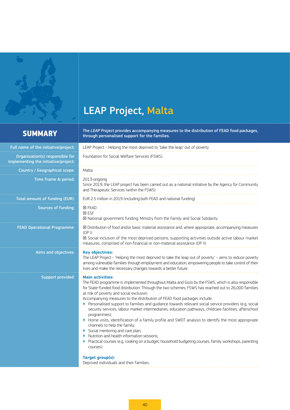# LEAP Project, Malta

<span id="page-39-0"></span> $\blacklozenge$ 

 $\mathsf{SUMMARY} \begin{array}{rcl} \vdots & \text{The } \mathsf{LEAP} \ \textit{Project} \ \textit{provides accompanying measures to the distribution of FEAD} \ \textit{food packages}, \ \vdots & \text{through personalised support for the families}. \end{array}$ 

| Full name of the initiative/project:                                    | LEAP Project - Helping the most deprived to 'take the leap' out of poverty                                                                                                                                                                                                                                                                                                                                                                                                                                                                                                                                                                                                                                                                                                                                                                                                                                                                                             |  |
|-------------------------------------------------------------------------|------------------------------------------------------------------------------------------------------------------------------------------------------------------------------------------------------------------------------------------------------------------------------------------------------------------------------------------------------------------------------------------------------------------------------------------------------------------------------------------------------------------------------------------------------------------------------------------------------------------------------------------------------------------------------------------------------------------------------------------------------------------------------------------------------------------------------------------------------------------------------------------------------------------------------------------------------------------------|--|
| Organisation(s) responsible for<br>implementing the initiative/project: | Foundation for Social Welfare Services (FSWS)                                                                                                                                                                                                                                                                                                                                                                                                                                                                                                                                                                                                                                                                                                                                                                                                                                                                                                                          |  |
| Country / Geographical scope:                                           | Malta                                                                                                                                                                                                                                                                                                                                                                                                                                                                                                                                                                                                                                                                                                                                                                                                                                                                                                                                                                  |  |
| Time frame & period:                                                    | 2013-ongoing<br>Since 2019, the LEAP project has been carried out as a national initiative by the Agency for Community<br>and Therapeutic Services (within the FSWS)                                                                                                                                                                                                                                                                                                                                                                                                                                                                                                                                                                                                                                                                                                                                                                                                   |  |
| <b>Total amount of funding (EUR):</b>                                   | EUR 2.5 million in 2019 (including both FEAD and national funding)                                                                                                                                                                                                                                                                                                                                                                                                                                                                                                                                                                                                                                                                                                                                                                                                                                                                                                     |  |
| Sources of funding:                                                     | <b>⊠ FEAD</b><br><b>⊠ ESF</b><br>⊠ National government funding: Ministry from the Family and Social Solidarity                                                                                                                                                                                                                                                                                                                                                                                                                                                                                                                                                                                                                                                                                                                                                                                                                                                         |  |
| <b>FEAD Operational Programme:</b>                                      | $\boxtimes$ Distribution of food and/or basic material assistance and, where appropriate, accompanying measures<br>(OP I)<br>⊠ Social inclusion of the most deprived persons, supporting activities outside active labour market<br>measures, comprised of non-financial or non-material assistance (OP II)                                                                                                                                                                                                                                                                                                                                                                                                                                                                                                                                                                                                                                                            |  |
| Aims and objectives:                                                    | <b>Key objectives:</b><br>The LEAP Project - 'Helping the most deprived to take the leap out of poverty' - aims to reduce poverty<br>among vulnerable families through employment and education, empowering people to take control of their<br>lives and make the necessary changes towards a better future.                                                                                                                                                                                                                                                                                                                                                                                                                                                                                                                                                                                                                                                           |  |
| Support provided:                                                       | <b>Main activities:</b><br>The FEAD programme is implemented throughout Malta and Gozo by the FSWS, which is also responsible<br>for State-funded food distribution. Through the two schemes, FSWS has reached out to 26,000 families<br>at risk of poverty and social exclusion.<br>Accompanying measures to the distribution of FEAD food packages include:<br>Personalised support to families and quidance towards relevant social service providers (e.g. social<br>security services, labour market intermediaries, education pathways, childcare facilities, afterschool<br>programmes);<br>Home visits, identification of a family profile and SWOT analysis to identify the most appropriate<br>Þ.<br>channels to help the family;<br>Social mentoring and care plan;<br>Nutrition and health information sessions:<br>Practical courses (e.g. cooking on a budget, household budgeting courses, family workshops, parenting<br>courses).<br>Target group(s): |  |
|                                                                         | Deprived individuals and their families.                                                                                                                                                                                                                                                                                                                                                                                                                                                                                                                                                                                                                                                                                                                                                                                                                                                                                                                               |  |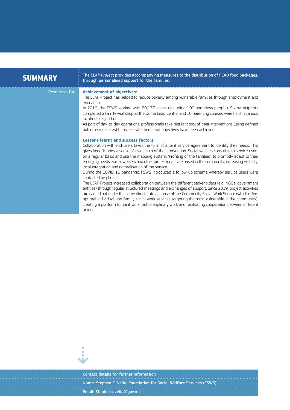| <b>SUMMARY</b> | The LEAP Project provides accompanying measures to the distribution of FEAD food packages,<br>through personalised support for the families.                                                                                                                                                                                                                                                                                                                                                                                                                                                                                                                                                                                                                                                                                                                                                                                                                                                                                                                                                                                                                                                                                |
|----------------|-----------------------------------------------------------------------------------------------------------------------------------------------------------------------------------------------------------------------------------------------------------------------------------------------------------------------------------------------------------------------------------------------------------------------------------------------------------------------------------------------------------------------------------------------------------------------------------------------------------------------------------------------------------------------------------------------------------------------------------------------------------------------------------------------------------------------------------------------------------------------------------------------------------------------------------------------------------------------------------------------------------------------------------------------------------------------------------------------------------------------------------------------------------------------------------------------------------------------------|
| Results so far | <b>Achievement of objectives:</b><br>The LEAP Project has helped to reduce poverty among vulnerable families through employment and<br>education<br>In 2019, the FSWS worked with 20,137 cases (including 199 homeless people). Six participants<br>completed a family workshop at the Qormi Leap Centre, and 10 parenting courses were held in various<br>locations (e.g. schools).<br>As part of day-to-day operations, professionals take regular stock of their interventions (using defined<br>outcome measures) to assess whether or not objectives have been achieved.                                                                                                                                                                                                                                                                                                                                                                                                                                                                                                                                                                                                                                               |
|                | <b>Lessons learnt and success factors:</b><br>Collaboration with end-users takes the form of a joint service agreement to identify their needs. This<br>gives beneficiaries a sense of ownership of the intervention. Social workers consult with service users<br>on a regular basis and use the mapping system, 'Profiling of the families', to promptly adapt to their<br>emerging needs. Social workers and other professionals are based in the community, increasing visibility,<br>local integration and normalisation of the service.<br>During the COVID-19 pandemic, FSWS introduced a follow-up scheme whereby service users were<br>contacted by phone.<br>The LEAP Project increased collaboration between the different stakeholders (e.g. NGOs, government<br>entities) through regular structured meetings and exchanges of support. Since 2019, project activities<br>are carried out under the same directorate as those of the Community Social Work Service (which offers<br>optimal individual and family social work services targeting the most vulnerable in the community),<br>creating a platform for joint work multidisciplinary work and facilitating cooperation between different<br>actors. |



Contact details for further information Name: Stephen C. Vella, Foundation for Social Welfare Services (FSWS) Email: [Stephen.c.vella@gov.mt](mailto:Stephen.c.vella%40gov.mt?subject=)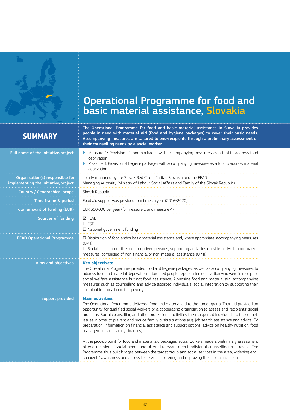<span id="page-41-0"></span>

# Operational Programme for food and basic material assistance, Slovakia

## **SUMMARY**

The Operational Programme for food and basic material assistance in Slovakia provides people in need with material aid (food and hygiene packages) to cover their basic needs. Accompanying measures are tailored to end-recipients through a preliminary assessment of their counselling needs by a social worker.

| Full name of the initiative/project:                                    | • Measure 1: Provision of food packages with accompanying measures as a tool to address food<br>deprivation<br>Measure 4: Provision of hygiene packages with accompanying measures as a tool to address material<br>deprivation                                                                                                                                                                                                                                                                                                                                                                                    |
|-------------------------------------------------------------------------|--------------------------------------------------------------------------------------------------------------------------------------------------------------------------------------------------------------------------------------------------------------------------------------------------------------------------------------------------------------------------------------------------------------------------------------------------------------------------------------------------------------------------------------------------------------------------------------------------------------------|
| Organisation(s) responsible for<br>implementing the initiative/project: | Jointly managed by the Slovak Red Cross, Caritas Slovakia and the FEAD<br>Managing Authority (Ministry of Labour, Social Affairs and Family of the Slovak Republic)                                                                                                                                                                                                                                                                                                                                                                                                                                                |
| Country / Geographical scope:                                           | Slovak Republic                                                                                                                                                                                                                                                                                                                                                                                                                                                                                                                                                                                                    |
| Time frame & period:                                                    | Food aid support was provided four times a year (2016-2020)                                                                                                                                                                                                                                                                                                                                                                                                                                                                                                                                                        |
| Total amount of funding (EUR):                                          | EUR 360,000 per year (for measure 1 and measure 4)                                                                                                                                                                                                                                                                                                                                                                                                                                                                                                                                                                 |
| <b>Sources of funding:</b>                                              | <b>区 FEAD</b><br>$\square$ ESF<br>$\Box$ National government funding                                                                                                                                                                                                                                                                                                                                                                                                                                                                                                                                               |
| <b>FEAD Operational Programme:</b>                                      | ⊠ Distribution of food and/or basic material assistance and, where appropriate, accompanying measures<br>(OP I)<br>$\square$ Social inclusion of the most deprived persons, supporting activities outside active labour market<br>measures, comprised of non-financial or non-material assistance (OP II)                                                                                                                                                                                                                                                                                                          |
| Aims and objectives:                                                    | <b>Key objectives:</b><br>The Operational Programme provided food and hygiene packages, as well as accompanying measures, to<br>address food and material deprivation. It targeted people experiencing deprivation who were in receipt of<br>social welfare assistance but not food assistance. Alongside food and material aid, accompanying<br>measures such as counselling and advice assisted individuals' social integration by supporting their<br>sustainable transition out of poverty.                                                                                                                    |
| Support provided:                                                       | <b>Main activities:</b><br>The Operational Programme delivered food and material aid to the target group. That aid provided an<br>opportunity for qualified social workers or a cooperating organisation to assess end-recipients' social<br>problems. Social counselling and other professional activities then supported individuals to tackle their<br>issues in order to prevent and reduce family crisis situations (e.g. job search assistance and advice, CV<br>preparation, information on financial assistance and support options, advice on healthy nutrition, food<br>management and family finances). |
|                                                                         | At the pick-up point for food and material aid packages, social workers made a preliminary assessment<br>of end-recipients' social needs and offered relevant direct individual counselling and advice. The<br>Programme thus built bridges between the target group and social services in the area, widening end-<br>recipients' awareness and access to services, fostering and improving their social inclusion.                                                                                                                                                                                               |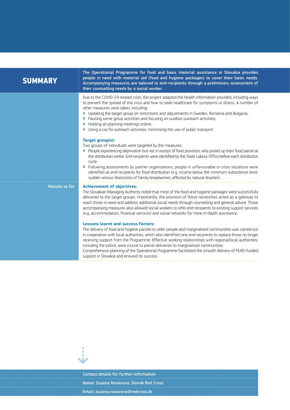| <b>SUMMARY</b>        | The Operational Programme for food and basic material assistance in Slovakia provides<br>people in need with material aid (food and hygiene packages) to cover their basic needs.<br>Accompanying measures are tailored to end-recipients through a preliminary assessment of<br>their counselling needs by a social worker.                                                                                                                                                                                                                                                                                              |
|-----------------------|---------------------------------------------------------------------------------------------------------------------------------------------------------------------------------------------------------------------------------------------------------------------------------------------------------------------------------------------------------------------------------------------------------------------------------------------------------------------------------------------------------------------------------------------------------------------------------------------------------------------------|
|                       | Due to the COVID-19 related crisis, the project adapted the health information provided, including ways<br>to prevent the spread of the virus and how to seek healthcare for symptoms or illness. A number of<br>other measures were taken, including:<br>Updating the target group on restrictions and adjustments in Sweden, Romania and Bulgaria;<br>▶<br>Pausing some group activities and focusing on outdoor outreach activities;<br>Holding all planning meetings online;<br>Using a car for outreach activities, minimising the use of public transport.                                                          |
|                       | Target group(s):<br>Two groups of individuals were targeted by the measures:<br>▶ People experiencing deprivation but not in receipt of food provision, who picked up their food parcel at<br>the distribution centre. End-recipients were identified by the State Labour Office before each distribution<br>cycle.<br>Following assessments by partner organisations, people in unfavourable or crisis situations were<br>identified as end-recipients for food distribution (e.g. income below the minimum subsistence level,<br>sudden serious illness/loss of family breadwinner, affected by natural disaster).      |
| <b>Results so far</b> | <b>Achievement of objectives:</b><br>The Slovakian Managing Authority noted that most of the food and hygiene packages were successfully<br>delivered to the target groups. Importantly, the provision of those necessities acted as a gateway to<br>reach those in need and address additional social needs through counselling and general advice. Those<br>accompanying measures also allowed social workers to refer end-recipients to existing support services<br>(e.g. accommodation, financial services) and social networks for more in-depth assistance.                                                        |
|                       | <b>Lessons learnt and success factors:</b><br>The delivery of food and hygiene parcels to older people and marginalised communities was carried out<br>in cooperation with local authorities, which also identified new end-recipients to replace those no longer<br>receiving support from the Programme. Effective working relationships with regional/local authorities,<br>including the police, were crucial to parcel deliveries to marginalised communities.<br>Comprehensive planning of the Operational Programme facilitated the smooth delivery of FEAD-funded<br>support in Slovakia and ensured its success. |



Contact details for further information Name: Zuzana Rosiarova, Slovak Red Cross Email: [zuzana.rosiarova@redcross.sk](mailto:zuzana.rosiarova%40redcross.sk?subject=)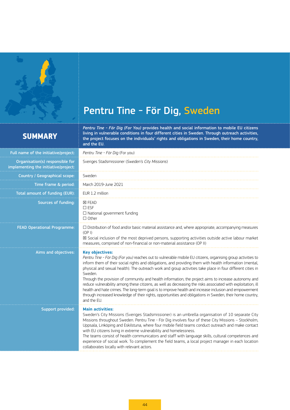<span id="page-43-0"></span>

**SUMMARY**

# Pentru Tine - För Dig, Sweden

## *Pentru Tine - För Dig (For You)* provides health and social information to mobile EU citizens living in vulnerable conditions in four different cities in Sweden. Through outreach activities, the project focuses on the individuals' rights and obligations in Sweden, their home country, and the EU.

| Full name of the initiative/project:                                    | Pentru Tine - För Dig (For you)                                                                                                                                                                                                                                                                                                                                                                                                                                                                                                                                                                                                                                                                                                                                                                                                          |
|-------------------------------------------------------------------------|------------------------------------------------------------------------------------------------------------------------------------------------------------------------------------------------------------------------------------------------------------------------------------------------------------------------------------------------------------------------------------------------------------------------------------------------------------------------------------------------------------------------------------------------------------------------------------------------------------------------------------------------------------------------------------------------------------------------------------------------------------------------------------------------------------------------------------------|
| Organisation(s) responsible for<br>implementing the initiative/project: | Sveriges Stadsmissioner (Sweden's City Missions)                                                                                                                                                                                                                                                                                                                                                                                                                                                                                                                                                                                                                                                                                                                                                                                         |
| Country / Geographical scope:                                           | Sweden                                                                                                                                                                                                                                                                                                                                                                                                                                                                                                                                                                                                                                                                                                                                                                                                                                   |
| Time frame & period:                                                    | March 2019-June 2021                                                                                                                                                                                                                                                                                                                                                                                                                                                                                                                                                                                                                                                                                                                                                                                                                     |
| Total amount of funding (EUR):                                          | EUR 1.2 million                                                                                                                                                                                                                                                                                                                                                                                                                                                                                                                                                                                                                                                                                                                                                                                                                          |
| <b>Sources of funding:</b>                                              | <b>区 FEAD</b><br>$\square$ ESF<br>$\Box$ National government funding<br>$\Box$ Other                                                                                                                                                                                                                                                                                                                                                                                                                                                                                                                                                                                                                                                                                                                                                     |
| <b>FEAD Operational Programme:</b>                                      | $\Box$ Distribution of food and/or basic material assistance and, where appropriate, accompanying measures<br>(OP I)<br>⊠ Social inclusion of the most deprived persons, supporting activities outside active labour market<br>measures, comprised of non-financial or non-material assistance (OP II)                                                                                                                                                                                                                                                                                                                                                                                                                                                                                                                                   |
| Aims and objectives:                                                    | <b>Key objectives:</b><br>Pentru Tine - För Dig (For you) reaches out to vulnerable mobile EU citizens, organising group activities to<br>inform them of their social rights and obligations, and providing them with health information (mental,<br>physical and sexual health). The outreach work and group activities take place in four different cities in<br>Sweden.<br>Through the provision of community and health information, the project aims to increase autonomy and<br>reduce vulnerability among these citizens, as well as decreasing the risks associated with exploitation, ill<br>health and hate crimes. The long-term goal is to improve health and increase inclusion and empowerment<br>through increased knowledge of their rights, opportunities and obligations in Sweden, their home country,<br>and the EU. |
| Support provided:                                                       | <b>Main activities:</b><br>Sweden's City Missions (Sveriges Stadsmissioner) is an umbrella organisation of 10 separate City<br>Missions throughout Sweden. Pentru Tine - För Dig involves four of these City Missions - Stockholm,<br>Uppsala, Linköping and Eskilstuna, where four mobile field teams conduct outreach and make contact<br>with EU citizens living in extreme vulnerability and homelessness.<br>The teams consist of health communicators and staff with language skills, cultural competences and<br>experience of social work. To complement the field teams, a local project manager in each location<br>collaborates locally with relevant actors.                                                                                                                                                                 |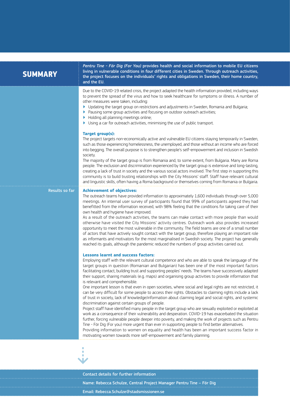| <b>SUMMARY</b>        | Pentru Tine - För Dig (For You) provides health and social information to mobile EU citizens<br>living in vulnerable conditions in four different cities in Sweden. Through outreach activities,<br>the project focuses on the individuals' rights and obligations in Sweden, their home country,<br>and the EU.                                                                                                                                                                                                                                                                                                                                                                                                                                                                                                                                                                                                                                                                                                                 |
|-----------------------|----------------------------------------------------------------------------------------------------------------------------------------------------------------------------------------------------------------------------------------------------------------------------------------------------------------------------------------------------------------------------------------------------------------------------------------------------------------------------------------------------------------------------------------------------------------------------------------------------------------------------------------------------------------------------------------------------------------------------------------------------------------------------------------------------------------------------------------------------------------------------------------------------------------------------------------------------------------------------------------------------------------------------------|
|                       | Due to the COVID-19 related crisis, the project adapted the health information provided, including ways<br>to prevent the spread of the virus and how to seek healthcare for symptoms or illness. A number of<br>other measures were taken, including:<br>▶ Updating the target group on restrictions and adjustments in Sweden, Romania and Bulgaria;<br>Pausing some group activities and focusing on outdoor outreach activities;<br>Holding all planning meetings online;<br>Þ.<br>Using a car for outreach activities, minimising the use of public transport.<br>Þ.                                                                                                                                                                                                                                                                                                                                                                                                                                                        |
|                       | Target group(s):<br>The project targets non-economically active and vulnerable EU citizens staying temporarily in Sweden,<br>such as those experiencing homelessness, the unemployed, and those without an income who are forced<br>into begging. The overall purpose is to strengthen people's self-empowerment and inclusion in Swedish<br>society.<br>The majority of the target group is from Romania and, to some extent, from Bulgaria. Many are Roma<br>people. The exclusion and discrimination experienced by the target group is extensive and long-lasting,<br>creating a lack of trust in society and the various social actors involved. The first step in supporting this<br>community is to build trusting relationships with the City Missions' staff. Staff have relevant cultural<br>and linguistic skills, often having a Roma background or themselves coming from Romania or Bulgaria.                                                                                                                      |
| <b>Results so far</b> | <b>Achievement of objectives:</b><br>The outreach teams have provided information to approximately 1,600 individuals through over 5,000<br>meetings. An internal user survey of participants found that 99% of participants agreed they had<br>benefitted from the information received, with 98% feeling that the conditions for taking care of their<br>own health and hygiene have improved.<br>As a result of the outreach activities, the teams can make contact with more people than would<br>otherwise have visited the City Missions' activity centres. Outreach work also provides increased<br>opportunity to meet the most vulnerable in the community. The field teams are one of a small number<br>of actors that have actively sought contact with the target group, therefore playing an important role<br>as informants and motivators for the most marginalised in Swedish society. The project has generally<br>reached its goals, although the pandemic reduced the numbers of group activities carried out. |
|                       | <b>Lessons learnt and success factors:</b><br>Employing staff with the relevant cultural competence and who are able to speak the language of the<br>target groups in question (Romanian and Bulgarian) has been one of the most important factors<br>facilitating contact, building trust and supporting peoples' needs. The teams have successively adapted<br>their support, sharing materials (e.g. maps) and organising group activities to provide information that<br>is relevant and comprehensible.<br>One important lesson is that even in open societies, where social and legal rights are not restricted, it<br>can be very difficult for some people to access their rights. Obstacles to claiming rights include a lack<br>of trust in society, lack of knowledge/information about claiming legal and social rights, and systemic<br>discrimination against certain groups of people.<br>Project staff have identified many people in the target group who are sexually exploited or exploited at                |
|                       | work as a consequence of their vulnerability and desperation. COVID-19 has exacerbated the situation<br>further, forcing vulnerable people deeper into poverty, and making the work of projects such as Pentru<br>Tine - För Dig (For you) more urgent than ever in supporting people to find better alternatives.<br>Providing information to women on equality and health has been an important success factor in<br>motivating women towards more self-empowerment and family planning.                                                                                                                                                                                                                                                                                                                                                                                                                                                                                                                                       |
|                       | ٠<br>п                                                                                                                                                                                                                                                                                                                                                                                                                                                                                                                                                                                                                                                                                                                                                                                                                                                                                                                                                                                                                           |

Contact details for further information Name: Rebecca Schulze, Central Project Manager Pentru Tine – För Dig Email: [Rebecca.Schulze@stadsmissionen.se](mailto:Rebecca.Schulze%40stadsmissionen.se?subject=)

⇣